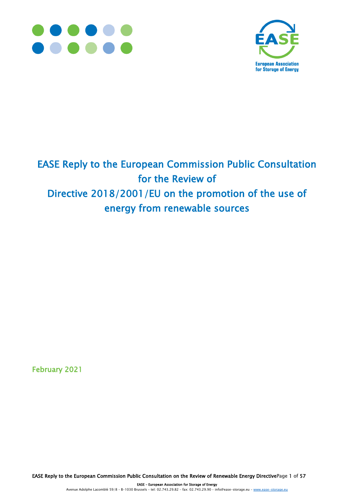



# EASE Reply to the European Commission Public Consultation for the Review of Directive 2018/2001/EU on the promotion of the use of energy from renewable sources

February 2021

EASE Reply to the European Commission Public Consultation on the Review of Renewable Energy DirectivePage 1 of 57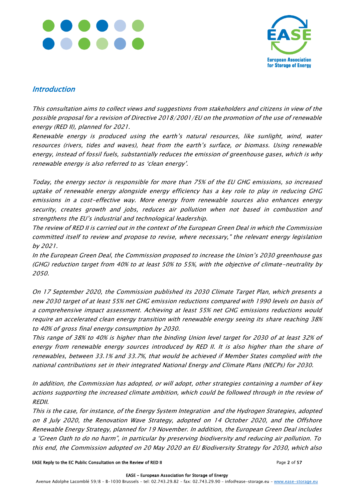



### **Introduction**

This consultation aims to collect views and suggestions from stakeholders and citizens in view of the possible proposal for a revision of Directive 2018/2001/EU on the promotion of the use of renewable energy (RED II), planned for 2021.

Renewable energy is produced using the earth's natural resources, like sunlight, wind, water resources (rivers, tides and waves), heat from the earth's surface, or biomass. Using renewable energy, instead of fossil fuels, substantially reduces the emission of greenhouse gases, which is why renewable energy is also referred to as 'clean energy'.

Today, the energy sector is responsible for more than 75% of the EU GHG emissions, so increased uptake of renewable energy alongside energy efficiency has a key role to play in reducing GHG emissions in a cost-effective way. More energy from renewable sources also enhances energy security, creates growth and jobs, reduces air pollution when not based in combustion and strengthens the EU's industrial and technological leadership.

The review of RED II is carried out in the context of the European Green Deal in which the Commission committed itself to review and propose to revise, where necessary," the relevant energy legislation by 2021.

In the European Green Deal, the Commission proposed to increase the Union's 2030 greenhouse gas (GHG) reduction target from 40% to at least 50% to 55%, with the objective of climate-neutrality by 2050.

On 17 September 2020, the Commission published its 2030 Climate Target Plan, which presents a new 2030 target of at least 55% net GHG emission reductions compared with 1990 levels on basis of a comprehensive impact assessment. Achieving at least 55% net GHG emissions reductions would require an accelerated clean energy transition with renewable energy seeing its share reaching 38% to 40% of gross final energy consumption by 2030.

This range of 38% to 40% is higher than the binding Union level target for 2030 of at least 32% of energy from renewable energy sources introduced by RED II. It is also higher than the share of renewables, between 33.1% and 33.7%, that would be achieved if Member States complied with the national contributions set in their integrated National Energy and Climate Plans (NECPs) for 2030.

In addition, the Commission has adopted, or will adopt, other strategies containing a number of key actions supporting the increased climate ambition, which could be followed through in the review of REDII.

This is the case, for instance, of the Energy System Integration and the Hydrogen Strategies, adopted on 8 July 2020, the Renovation Wave Strategy, adopted on 14 October 2020, and the Offshore Renewable Energy Strategy, planned for 19 November. In addition, the European Green Deal includes <sup>a</sup>"Green Oath to do no harm", in particular by preserving biodiversity and reducing air pollution. To this end, the Commission adopted on 20 May 2020 an EU Biodiversity Strategy for 2030, which also

#### EASE Reply to the EC Public Consultation on the Review of RED II Page 2 of 57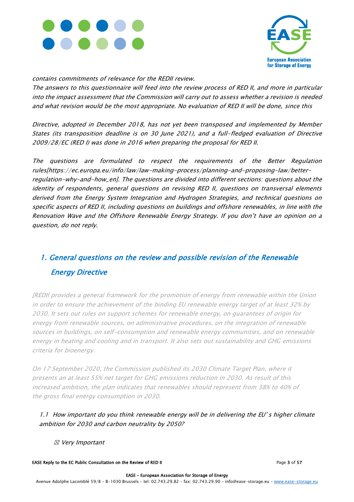



contains commitments of relevance for the REDII review.

The answers to this questionnaire will feed into the review process of RED II, and more in particular into the impact assessment that the Commission will carry out to assess whether a revision is needed and what revision would be the most appropriate. No evaluation of RED II will be done, since this

Directive, adopted in December 2018, has not yet been transposed and implemented by Member States (its transposition deadline is on 30 June 2021), and a full-fledged evaluation of Directive 2009/28/EC (RED I) was done in 2016 when preparing the proposal for RED II.

The questions are formulated to respect the requirements of the Better Regulation rules[https://ec.europa.eu/info/law/law-making-process/planning-and-proposing-law/betterregulation-why-and-how\_en]. The questions are divided into different sections: questions about the identity of respondents, general questions on revising RED II, questions on transversal elements derived from the Energy System Integration and Hydrogen Strategies, and technical questions on specific aspects of RED II, including questions on buildings and offshore renewables, in line with the Renovation Wave and the Offshore Renewable Energy Strategy. If you don't have an opinion on a question, do not reply.

# 1. General questions on the review and possible revision of the Renewable Energy Directive

[REDII provides a general framework for the promotion of energy from renewable within the Union in order to ensure the achievement of the binding EU renewable energy target of at least 32% by 2030. It sets out rules on support schemes for renewable energy, on guarantees of origin for energy from renewable sources, on administrative procedures, on the integration of renewable sources in buildings, on self-consumption and renewable energy communities, and on renewable energy in heating and cooling and in transport. It also sets out sustainability and GHG emissions criteria for bioenergy.

On 17 September 2020, the Commission published its 2030 Climate Target Plan, where it presents an at least 55% net target for GHG emissions reduction in 2030. As result of this increased ambition, the plan indicates that renewables should represent from 38% to 40% of the gross final energy consumption in 2030.

1.1 How important do you think renewable energy will be in delivering the EU's higher climate ambition for 2030 and carbon neutrality by 2050?

☒ Very Important

EASE Reply to the EC Public Consultation on the Review of RED II **EXAGE 2008** Page 3 of 57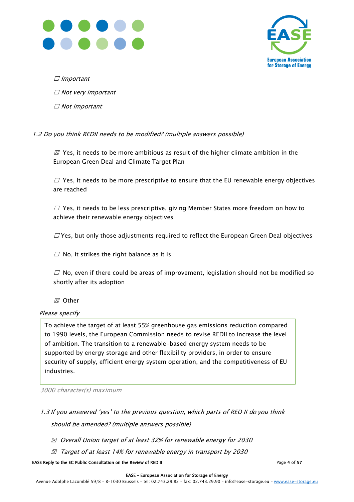



 $\Box$  Important

☐ Not very important

 $\Box$  Not important

#### 1.2 Do you think REDII needs to be modified? (multiple answers possible)

 $\varnothing$  Yes, it needs to be more ambitious as result of the higher climate ambition in the European Green Deal and Climate Target Plan

 $\Box$  Yes, it needs to be more prescriptive to ensure that the EU renewable energy objectives are reached

 $\Box$  Yes, it needs to be less prescriptive, giving Member States more freedom on how to achieve their renewable energy objectives

 $\Box$  Yes, but only those adjustments required to reflect the European Green Deal objectives

 $\Box$  No, it strikes the right balance as it is

 $\Box$  No, even if there could be areas of improvement, legislation should not be modified so shortly after its adoption

☒ Other

#### Please specify

To achieve the target of at least 55% greenhouse gas emissions reduction compared to 1990 levels, the European Commission needs to revise REDII to increase the level of ambition. The transition to a renewable-based energy system needs to be supported by energy storage and other flexibility providers, in order to ensure security of supply, efficient energy system operation, and the competitiveness of EU industries.

3000 character(s) maximum

- 1.3 If you answered 'yes' to the previous question, which parts of RED II do you think should be amended? (multiple answers possible)
	- $\boxtimes$  Overall Union target of at least 32% for renewable energy for 2030
	- $\boxtimes$  Target of at least 14% for renewable energy in transport by 2030

EASE Reply to the EC Public Consultation on the Review of RED II Page 4 of 57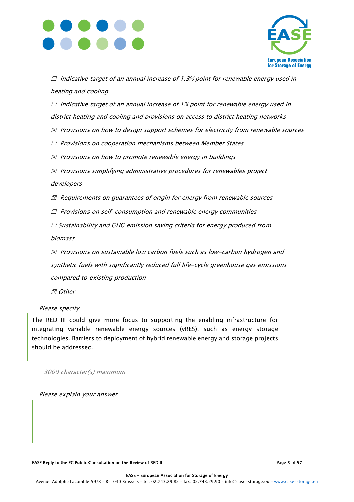



 $\Box$  Indicative target of an annual increase of 1.3% point for renewable energy used in heating and cooling

 $\Box$  Indicative target of an annual increase of 1% point for renewable energy used in district heating and cooling and provisions on access to district heating networks

- $\boxtimes$  Provisions on how to design support schemes for electricity from renewable sources
- ☐ Provisions on cooperation mechanisms between Member States
- $\boxtimes$  Provisions on how to promote renewable energy in buildings
- $\boxtimes$  Provisions simplifying administrative procedures for renewables project developers
- $\boxtimes$  Requirements on guarantees of origin for energy from renewable sources
- $\Box$  Provisions on self-consumption and renewable energy communities
- $\Box$  Sustainability and GHG emission saving criteria for energy produced from

biomass

 $\boxtimes$  Provisions on sustainable low carbon fuels such as low-carbon hydrogen and synthetic fuels with significantly reduced full life-cycle greenhouse gas emissions compared to existing production

☒ Other

#### Please specify

The RED III could give more focus to supporting the enabling infrastructure for integrating variable renewable energy sources (vRES), such as energy storage technologies. Barriers to deployment of hybrid renewable energy and storage projects should be addressed.

3000 character(s) maximum

Please explain your answer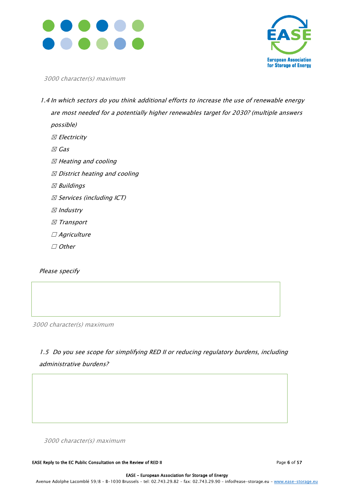



3000 character(s) maximum

- 1.4 In which sectors do you think additional efforts to increase the use of renewable energy are most needed for a potentially higher renewables target for 2030? (multiple answers possible)
	- ☒ Electricity
	- ☒ Gas
	- ☒ Heating and cooling
	- $\boxtimes$  District heating and cooling
	- ☒ Buildings
	- ☒ Services (including ICT)
	- ☒ Industry
	- ☒ Transport
	- □ Agriculture
	- ☐ Other

Please specify

Γ

3000 character(s) maximum

1.5 Do you see scope for simplifying RED II or reducing regulatory burdens, including administrative burdens?

3000 character(s) maximum

EASE Reply to the EC Public Consultation on the Review of RED II Page 6 of 57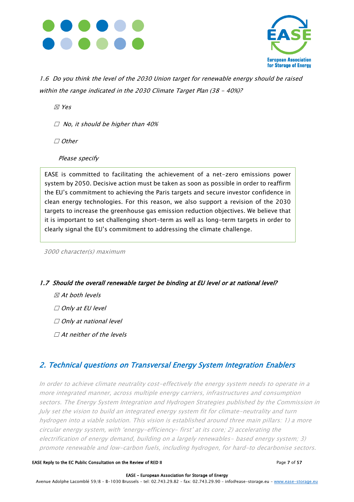



1.6 Do you think the level of the 2030 Union target for renewable energy should be raised within the range indicated in the 2030 Climate Target Plan (38 - 40%)?

☒ Yes

 $\Box$  No, it should be higher than 40%

☐ Other

Please specify

EASE is committed to facilitating the achievement of a net-zero emissions power system by 2050. Decisive action must be taken as soon as possible in order to reaffirm the EU's commitment to achieving the Paris targets and secure investor confidence in clean energy technologies. For this reason, we also support a revision of the 2030 targets to increase the greenhouse gas emission reduction objectives. We believe that it is important to set challenging short-term as well as long-term targets in order to clearly signal the EU's commitment to addressing the climate challenge.

3000 character(s) maximum

#### 1.7 Should the overall renewable target be binding at EU level or at national level?

- $\boxtimes$  At both levels
- ☐ Only at EU level
- $\Box$  Only at national level
- $\Box$  At neither of the levels

### 2. Technical questions on Transversal Energy System Integration Enablers

In order to achieve climate neutrality cost-effectively the energy system needs to operate in a more integrated manner, across multiple energy carriers, infrastructures and consumption sectors. The Energy System Integration and Hydrogen Strategies published by the Commission in July set the vision to build an integrated energy system fit for climate-neutrality and turn hydrogen into a viable solution. This vision is established around three main pillars: 1) a more circular energy system, with 'energy-efficiency- first' at its core; 2) accelerating the electrification of energy demand, building on a largely renewables- based energy system; 3) promote renewable and low-carbon fuels, including hydrogen, for hard-to decarbonise sectors.

#### EASE Reply to the EC Public Consultation on the Review of RED II Page 7 of 57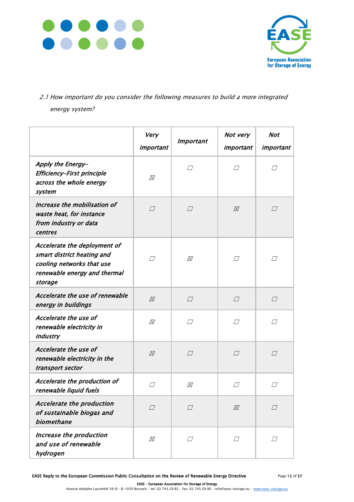



### 2.1 How important do you consider the following measures to build a more integrated energy system?

|                                                                                                                                    | Very<br>important | <b>Important</b>      | Not very<br>important | <b>Not</b><br>important |
|------------------------------------------------------------------------------------------------------------------------------------|-------------------|-----------------------|-----------------------|-------------------------|
| Apply the Energy-<br>Efficiency-First principle<br>across the whole energy<br>system                                               | ⊠                 | $\Box$                | $\varpi$              | $\perp$                 |
| Increase the mobilisation of<br>waste heat, for instance<br>from industry or data<br>centres                                       | $\Box$            | $\sqrt{}$             | $\boxtimes$           | П                       |
| Accelerate the deployment of<br>smart district heating and<br>cooling networks that use<br>renewable energy and thermal<br>storage | $\Box$            | ⊠                     | $\Box$                | $\Box$                  |
| Accelerate the use of renewable<br>energy in buildings                                                                             | $\boxtimes$       | $\boxed{\phantom{1}}$ | $\Box$                | $\boxed{\phantom{1}}$   |
| Accelerate the use of<br>renewable electricity in<br>industry                                                                      | ⊠                 | $\Box$                | $\Box$                | П                       |
| Accelerate the use of<br>renewable electricity in the<br>transport sector                                                          | $\varnothing$     | $\Box$                | $\Box$                | $\Box$                  |
| Accelerate the production of<br>renewable liquid fuels                                                                             | $\Box$            | ⊠                     | $\Box$                | $\Box$                  |
| Accelerate the production<br>of sustainable biogas and<br>biomethane                                                               | $\Box$            | $\Box$                | $\boxtimes$           | П                       |
| Increase the production<br>and use of renewable<br>hydrogen                                                                        | ⊠                 | $\Box$                | $\Box$                | П                       |

EASE Reply to the European Commission Public Consultation on the Review of Renewable Energy Directive Page 13 of 57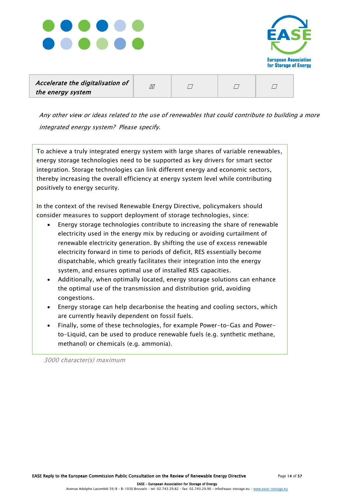



| Accelerate the digitalisation of | Ñ |  |  |
|----------------------------------|---|--|--|
| the energy system                |   |  |  |

Any other view or ideas related to the use of renewables that could contribute to building a more integrated energy system? Please specify.

To achieve a truly integrated energy system with large shares of variable renewables, energy storage technologies need to be supported as key drivers for smart sector integration. Storage technologies can link different energy and economic sectors, thereby increasing the overall efficiency at energy system level while contributing positively to energy security.

In the context of the revised Renewable Energy Directive, policymakers should consider measures to support deployment of storage technologies, since:

- Energy storage technologies contribute to increasing the share of renewable electricity used in the energy mix by reducing or avoiding curtailment of renewable electricity generation. By shifting the use of excess renewable electricity forward in time to periods of deficit, RES essentially become dispatchable, which greatly facilitates their integration into the energy system, and ensures optimal use of installed RES capacities.
- Additionally, when optimally located, energy storage solutions can enhance the optimal use of the transmission and distribution grid, avoiding congestions.
- Energy storage can help decarbonise the heating and cooling sectors, which are currently heavily dependent on fossil fuels.
- Finally, some of these technologies, for example Power-to-Gas and Powerto-Liquid, can be used to produce renewable fuels (e.g. synthetic methane, methanol) or chemicals (e.g. ammonia).

3000 character(s) maximum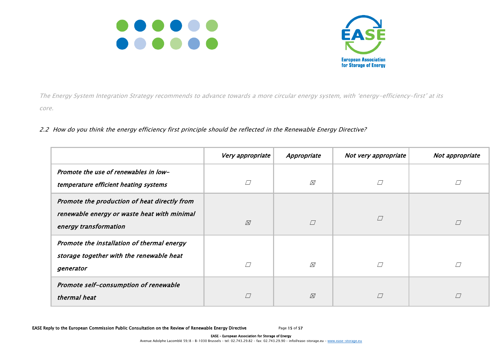



The Energy System Integration Strategy recommends to advance towards a more circular energy system, with 'energy-efficiency-first' at its core.

#### 2.2 How do you think the energy efficiency first principle should be reflected in the Renewable Energy Directive?

|                                                                                                                      | Very appropriate | Appropriate   | Not very appropriate | Not appropriate |
|----------------------------------------------------------------------------------------------------------------------|------------------|---------------|----------------------|-----------------|
| Promote the use of renewables in low-<br>temperature efficient heating systems                                       | П                | ⊠             |                      |                 |
| Promote the production of heat directly from<br>renewable energy or waste heat with minimal<br>energy transformation | $\varnothing$    | $\Box$        |                      | П               |
| Promote the installation of thermal energy<br>storage together with the renewable heat<br>generator                  | П                | $\varnothing$ |                      |                 |
| Promote self-consumption of renewable<br>thermal heat                                                                | $\Box$           | $\boxtimes$   |                      |                 |

EASE Reply to the European Commission Public Consultation on the Review of Renewable Energy Directive Page 15 of 57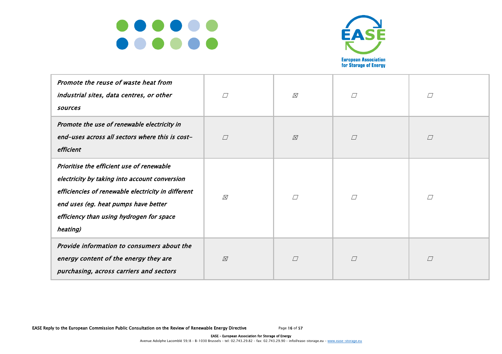



| Promote the reuse of waste heat from<br>industrial sites, data centres, or other<br>sources                                                                                                                                                      | $\Box$      | $\boxtimes$ | $\Box$ | $\Box$      |
|--------------------------------------------------------------------------------------------------------------------------------------------------------------------------------------------------------------------------------------------------|-------------|-------------|--------|-------------|
| Promote the use of renewable electricity in<br>end-uses across all sectors where this is cost-<br>efficient                                                                                                                                      | $\sqrt{}$   | $\boxtimes$ | $\Box$ | $\boxed{ }$ |
| Prioritise the efficient use of renewable<br>electricity by taking into account conversion<br>efficiencies of renewable electricity in different<br>end uses (eg. heat pumps have better<br>efficiency than using hydrogen for space<br>heating) | $\boxtimes$ | $\sqrt{}$   | $\Box$ | $\Box$      |
| Provide information to consumers about the<br>energy content of the energy they are<br>purchasing, across carriers and sectors                                                                                                                   | ⊠           | $\Box$      | $\Box$ | $\boxed{ }$ |

EASE Reply to the European Commission Public Consultation on the Review of Renewable Energy Directive Page 16 of 57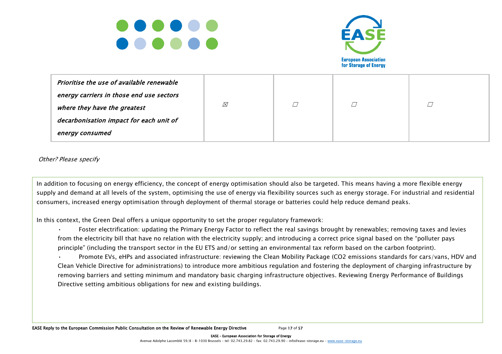



| Prioritise the use of available renewable |   |  |  |
|-------------------------------------------|---|--|--|
| energy carriers in those end use sectors  |   |  |  |
| where they have the greatest              | ⊠ |  |  |
| decarbonisation impact for each unit of   |   |  |  |
| energy consumed                           |   |  |  |

Other? Please specify

In addition to focusing on energy efficiency, the concept of energy optimisation should also be targeted. This means having a more flexible energy supply and demand at all levels of the system, optimising the use of energy via flexibility sources such as energy storage. For industrial and residential consumers, increased energy optimisation through deployment of thermal storage or batteries could help reduce demand peaks.

In this context, the Green Deal offers a unique opportunity to set the proper regulatory framework:

- Foster electrification: updating the Primary Energy Factor to reflect the real savings brought by renewables; removing taxes and levies from the electricity bill that have no relation with the electricity supply; and introducing a correct price signal based on the "polluter pays principle" (including the transport sector in the EU ETS and/or setting an environmental tax reform based on the carbon footprint).
- removing barriers and setting minimum and mandatory basic charging infrastructure objectives. Reviewing Energy Performance of Buildings • Promote EVs, eHPs and associated infrastructure: reviewing the Clean Mobility Package (CO2 emissions standards for cars/vans, HDV and Clean Vehicle Directive for administrations) to introduce more ambitious regulation and fostering the deployment of charging infrastructure by Directive setting ambitious obligations for new and existing buildings.

EASE Reply to the European Commission Public Consultation on the Review of Renewable Energy Directive Page 17 of 57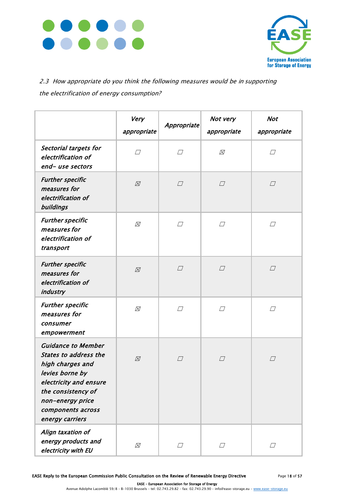



## 2.3 How appropriate do you think the following measures would be in supporting the electrification of energy consumption?

|                                                                                                                                                                                                              | Very<br>appropriate | Appropriate | Not very<br>appropriate | <b>Not</b><br>appropriate |
|--------------------------------------------------------------------------------------------------------------------------------------------------------------------------------------------------------------|---------------------|-------------|-------------------------|---------------------------|
| Sectorial targets for<br>electrification of<br>end-use sectors                                                                                                                                               | $\Box$              | $\Box$      | ⊠                       | $\Box$                    |
| <b>Further specific</b><br>measures for<br>electrification of<br>buildings                                                                                                                                   | $\boxtimes$         | $\Box$      | $\Box$                  | $\Box$                    |
| <b>Further specific</b><br>measures for<br>electrification of<br>transport                                                                                                                                   | $\varnothing$       | $\Box$      | $\Box$                  | $\Box$                    |
| <b>Further specific</b><br>measures for<br>electrification of<br>industry                                                                                                                                    | $\varnothing$       | $\varpi$    | $\Box$                  | $\Box$                    |
| <b>Further specific</b><br>measures for<br>consumer<br>empowerment                                                                                                                                           | $\varnothing$       | $\Box$      | $\Box$                  | $\Box$                    |
| <b>Guidance to Member</b><br><b>States to address the</b><br>high charges and<br>levies borne by<br>electricity and ensure<br>the consistency of<br>non-energy price<br>components across<br>energy carriers | ⊠                   | $\Box$      | $\Box$                  | $\Box$                    |
| Align taxation of<br>energy products and<br>electricity with EU                                                                                                                                              | ⊠                   | $\varpi$    | $\perp$                 | $\prime$ /                |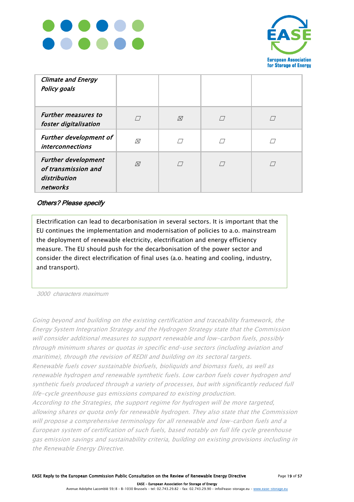



| <b>Climate and Energy</b><br><b>Policy goals</b>                              |           |             |  |
|-------------------------------------------------------------------------------|-----------|-------------|--|
| <b>Further measures to</b><br>foster digitalisation                           | $\sqrt{}$ | $\boxtimes$ |  |
| <b>Further development of</b><br><i>interconnections</i>                      | ⊠         | $\Box$      |  |
| <b>Further development</b><br>of transmission and<br>distribution<br>networks | $\oslash$ | $\sqrt{}$   |  |

#### Others? Please specify

Electrification can lead to decarbonisation in several sectors. It is important that the EU continues the implementation and modernisation of policies to a.o. mainstream the deployment of renewable electricity, electrification and energy efficiency measure. The EU should push for the decarbonisation of the power sector and consider the direct electrification of final uses (a.o. heating and cooling, industry, and transport).

3000 characters maximum

Going beyond and building on the existing certification and traceability framework, the Energy System Integration Strategy and the Hydrogen Strategy state that the Commission will consider additional measures to support renewable and low-carbon fuels, possibly through minimum shares or quotas in specific end-use sectors (including aviation and maritime), through the revision of REDII and building on its sectoral targets. Renewable fuels cover sustainable biofuels, bioliquids and biomass fuels, as well as renewable hydrogen and renewable synthetic fuels. Low carbon fuels cover hydrogen and synthetic fuels produced through a variety of processes, but with significantly reduced full life-cycle greenhouse gas emissions compared to existing production.

According to the Strategies, the support regime for hydrogen will be more targeted, allowing shares or quota only for renewable hydrogen. They also state that the Commission will propose a comprehensive terminology for all renewable and low-carbon fuels and a European system of certification of such fuels, based notably on full life cycle greenhouse gas emission savings and sustainability criteria, building on existing provisions including in the Renewable Energy Directive.

 EASE – European Association for Storage of Energy Avenue Adolphe Lacomblé 59/8 – B-1030 Brussels – tel: 02.743.29.82 – fax: 02.743.29.90 – inf[o@ease-storage.eu](mailto:info@ease-storage.eu) – [www.ease-storage.eu](http://www.ease-storage.eu/)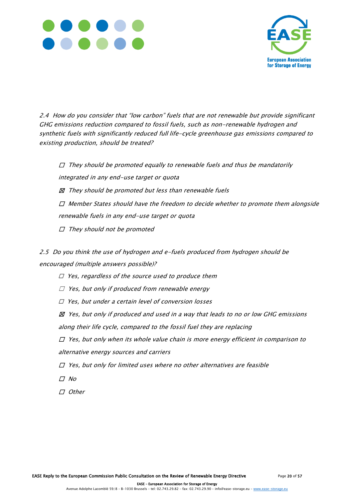



2.4 How do you consider that "low carbon" fuels that are not renewable but provide significant GHG emissions reduction compared to fossil fuels, such as non-renewable hydrogen and synthetic fuels with significantly reduced full life-cycle greenhouse gas emissions compared to existing production, should be treated?

 $\Box$  They should be promoted equally to renewable fuels and thus be mandatorily integrated in any end-use target or quota  $\boxtimes$  They should be promoted but less than renewable fuels  $\Box$  Member States should have the freedom to decide whether to promote them alongside renewable fuels in any end-use target or quota  $\Box$  They should not be promoted

2.5 Do you think the use of hydrogen and e-fuels produced from hydrogen should be encouraged (multiple answers possible)?

- $\square$  Yes, regardless of the source used to produce them
- $\Box$  Yes, but only if produced from renewable energy
- ☐ Yes, but under a certain level of conversion losses

 $\boxtimes$  Yes, but only if produced and used in a way that leads to no or low GHG emissions along their life cycle, compared to the fossil fuel they are replacing

 $\Box$  Yes, but only when its whole value chain is more energy efficient in comparison to alternative energy sources and carriers

 $\square$  Yes, but only for limited uses where no other alternatives are feasible

- ☐ No
- ☐ Other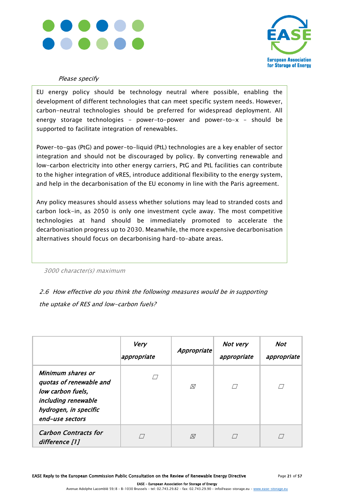



#### Please specify

EU energy policy should be technology neutral where possible, enabling the development of different technologies that can meet specific system needs. However, carbon-neutral technologies should be preferred for widespread deployment. All energy storage technologies – power-to-power and power-to-x – should be supported to facilitate integration of renewables.

Power-to-gas (PtG) and power-to-liquid (PtL) technologies are a key enabler of sector integration and should not be discouraged by policy. By converting renewable and low-carbon electricity into other energy carriers, PtG and PtL facilities can contribute to the higher integration of vRES, introduce additional flexibility to the energy system, and help in the decarbonisation of the EU economy in line with the Paris agreement.

Any policy measures should assess whether solutions may lead to stranded costs and carbon lock-in, as 2050 is only one investment cycle away. The most competitive technologies at hand should be immediately promoted to accelerate the decarbonisation progress up to 2030. Meanwhile, the more expensive decarbonisation alternatives should focus on decarbonising hard-to-abate areas.

3000 character(s) maximum

2.6 How effective do you think the following measures would be in supporting the uptake of RES and low-carbon fuels?

|                                                                                                                                      | Very<br>appropriate | Appropriate | Not very<br>appropriate | Not<br>appropriate |
|--------------------------------------------------------------------------------------------------------------------------------------|---------------------|-------------|-------------------------|--------------------|
| Minimum shares or<br>quotas of renewable and<br>low carbon fuels,<br>including renewable<br>hydrogen, in specific<br>end-use sectors | $\sqrt{}$           | 风           |                         |                    |
| <b>Carbon Contracts for</b><br>difference [1]                                                                                        |                     | $\boxtimes$ | $\left( \quad \right)$  |                    |

 EASE – European Association for Storage of Energy Avenue Adolphe Lacomblé 59/8 – B-1030 Brussels – tel: 02.743.29.82 – fax: 02.743.29.90 – inf[o@ease-storage.eu](mailto:info@ease-storage.eu) – [www.ease-storage.eu](http://www.ease-storage.eu/)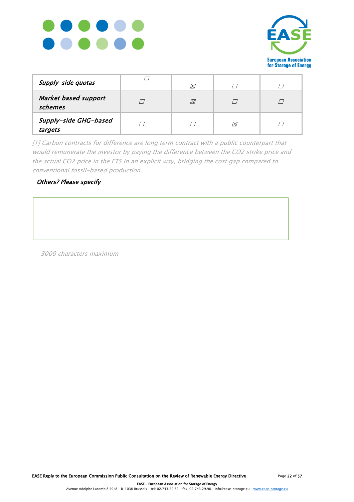



| Supply-side quotas                     | Ø |   |  |
|----------------------------------------|---|---|--|
| <b>Market based support</b><br>schemes | ⊠ |   |  |
| Supply-side GHG-based<br>targets       |   | Ñ |  |

[1] Carbon contracts for difference are long term contract with a public counterpart that would remunerate the investor by paying the difference between the CO2 strike price and the actual CO2 price in the ETS in an explicit way, bridging the cost gap compared to conventional fossil-based production.

#### Others? Please specify

3000 characters maximum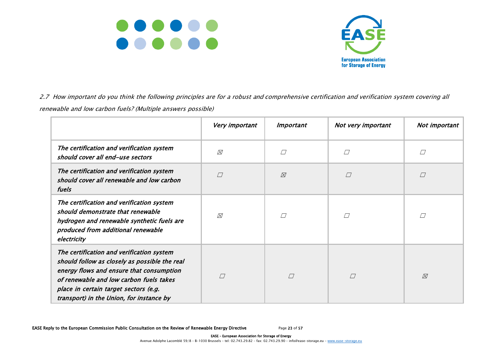



2.7 How important do you think the following principles are for a robust and comprehensive certification and verification system covering all renewable and low carbon fuels? (Multiple answers possible)

|                                                                                                                                                                                                                                                                        | Very important | <i>Important</i> | Not very important | Not important |
|------------------------------------------------------------------------------------------------------------------------------------------------------------------------------------------------------------------------------------------------------------------------|----------------|------------------|--------------------|---------------|
| The certification and verification system<br>should cover all end-use sectors                                                                                                                                                                                          | $\boxtimes$    | П                | П                  |               |
| The certification and verification system<br>should cover all renewable and low carbon<br>fuels                                                                                                                                                                        | $\sqrt{}$      | ⊠                |                    |               |
| The certification and verification system<br>should demonstrate that renewable<br>hydrogen and renewable synthetic fuels are<br>produced from additional renewable<br>electricity                                                                                      | ⊠              | П                |                    |               |
| The certification and verification system<br>should follow as closely as possible the real<br>energy flows and ensure that consumption<br>of renewable and low carbon fuels takes<br>place in certain target sectors (e.g.<br>transport) in the Union, for instance by | П              | $\sqrt{}$        | $\Box$             | ⊠             |

EASE Reply to the European Commission Public Consultation on the Review of Renewable Energy Directive Page 23 of 57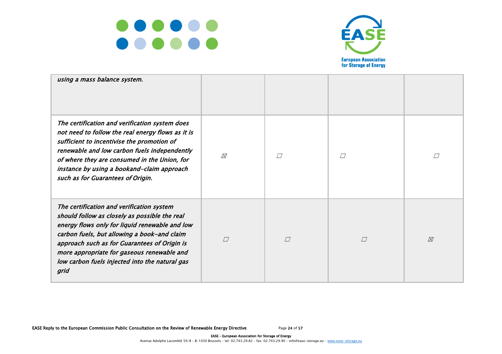



| using a mass balance system.                                                                                                                                                                                                                                                                                                                        |           |           |           |             |
|-----------------------------------------------------------------------------------------------------------------------------------------------------------------------------------------------------------------------------------------------------------------------------------------------------------------------------------------------------|-----------|-----------|-----------|-------------|
| The certification and verification system does<br>not need to follow the real energy flows as it is<br>sufficient to incentivise the promotion of<br>renewable and low carbon fuels independently<br>of where they are consumed in the Union, for<br>instance by using a bookand-claim approach<br>such as for Guarantees of Origin.                | ⊠         |           |           |             |
| The certification and verification system<br>should follow as closely as possible the real<br>energy flows only for liquid renewable and low<br>carbon fuels, but allowing a book-and claim<br>approach such as for Guarantees of Origin is<br>more appropriate for gaseous renewable and<br>low carbon fuels injected into the natural gas<br>grid | $\sqrt{}$ | $\sqrt{}$ | $\sqrt{}$ | $\boxtimes$ |

EASE Reply to the European Commission Public Consultation on the Review of Renewable Energy Directive Page 24 of 57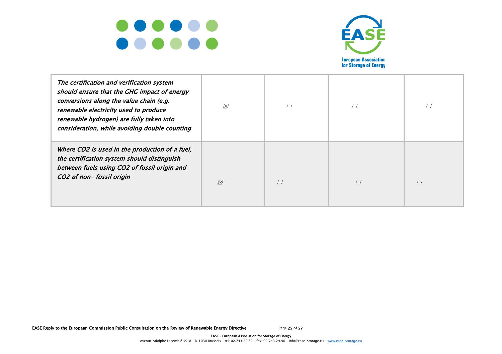



| The certification and verification system<br>should ensure that the GHG impact of energy<br>conversions along the value chain (e.g.<br>renewable electricity used to produce<br>renewable hydrogen) are fully taken into<br>consideration, while avoiding double counting | $\boxtimes$   |  |  |
|---------------------------------------------------------------------------------------------------------------------------------------------------------------------------------------------------------------------------------------------------------------------------|---------------|--|--|
| Where CO2 is used in the production of a fuel,<br>the certification system should distinguish<br>between fuels using CO2 of fossil origin and<br>CO2 of non-fossil origin                                                                                                 | $\varnothing$ |  |  |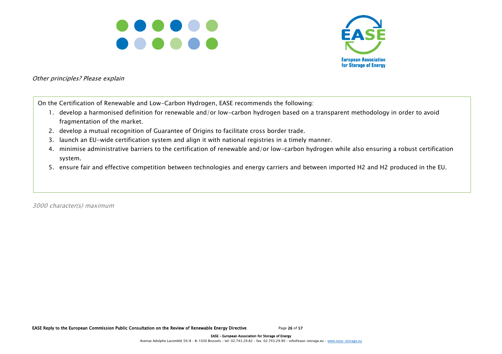



Other principles? Please explain

On the Certification of Renewable and Low-Carbon Hydrogen, EASE recommends the following:

- 1. develop a harmonised definition for renewable and/or low-carbon hydrogen based on a transparent methodology in order to avoid fragmentation of the market.
- 2. develop a mutual recognition of Guarantee of Origins to facilitate cross border trade.
- 3. launch an EU-wide certification system and align it with national registries in a timely manner.
- 4. minimise administrative barriers to the certification of renewable and/or low-carbon hydrogen while also ensuring a robust certification system.
- 5. ensure fair and effective competition between technologies and energy carriers and between imported H2 and H2 produced in the EU.

3000 character(s) maximum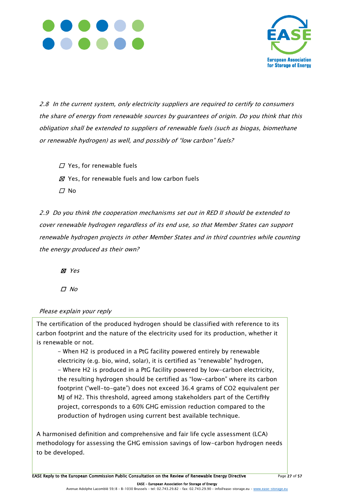



2.8 In the current system, only electricity suppliers are required to certify to consumers the share of energy from renewable sources by guarantees of origin. Do you think that this obligation shall be extended to suppliers of renewable fuels (such as biogas, biomethane or renewable hydrogen) as well, and possibly of "low carbon" fuels?

- $\Box$  Yes, for renewable fuels
- $\boxtimes$  Yes, for renewable fuels and low carbon fuels
- $\Box$  No

2.9 Do you think the cooperation mechanisms set out in RED II should be extended to cover renewable hydrogen regardless of its end use, so that Member States can support renewable hydrogen projects in other Member States and in third countries while counting the energy produced as their own?

☐ ☒ Yes

☐ No

#### Please explain your reply

The certification of the produced hydrogen should be classified with reference to its carbon footprint and the nature of the electricity used for its production, whether it is renewable or not.

- When H2 is produced in a PtG facility powered entirely by renewable electricity (e.g. bio, wind, solar), it is certified as "renewable" hydrogen, - Where H2 is produced in a PtG facility powered by low-carbon electricity, the resulting hydrogen should be certified as "low-carbon" where its carbon footprint ("well-to-gate") does not exceed 36.4 grams of CO2 equivalent per MJ of H2. This threshold, agreed among stakeholders part of the CertifHy project, corresponds to a 60% GHG emission reduction compared to the production of hydrogen using current best available technique.

A harmonised definition and comprehensive and fair life cycle assessment (LCA) methodology for assessing the GHG emission savings of low-carbon hydrogen needs to be developed.

EASE Reply to the European Commission Public Consultation on the Review of Renewable Energy Directive Page 27 of 57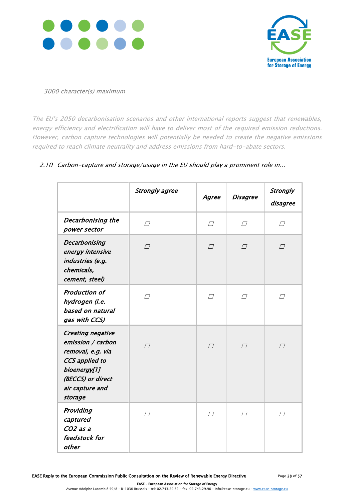



#### 3000 character(s) maximum

The EU's 2050 decarbonisation scenarios and other international reports suggest that renewables, energy efficiency and electrification will have to deliver most of the required emission reductions. However, carbon capture technologies will potentially be needed to create the negative emissions required to reach climate neutrality and address emissions from hard-to-abate sectors.

|                                                                                                                                                         | <b>Strongly agree</b> | Agree  | <b>Disagree</b> | <b>Strongly</b><br>disagree |
|---------------------------------------------------------------------------------------------------------------------------------------------------------|-----------------------|--------|-----------------|-----------------------------|
| <b>Decarbonising the</b><br>power sector                                                                                                                | $\Box$                | $\Box$ | $\Box$          | $\Box$                      |
| <b>Decarbonising</b><br>energy intensive<br>industries (e.g.<br>chemicals,<br>cement, steel)                                                            | $\Box$                | $\Box$ | $\Box$          | $\Box$                      |
| Production of<br>hydrogen (i.e.<br>based on natural<br>gas with CCS)                                                                                    | П                     | $\Box$ | $\sqrt{}$       | $\sqrt{}$                   |
| <b>Creating negative</b><br>emission / carbon<br>removal, e.g. via<br>CCS applied to<br>bioenergy[1]<br>(BECCS) or direct<br>air capture and<br>storage | $\sqrt{}$             | $\Box$ | $\sqrt{}$       | $\sqrt{}$                   |
| Providing<br>captured<br>CO <sub>2</sub> as a<br>feedstock for<br>other                                                                                 | $\Box$                | $\Box$ | $\Box$          | $\Box$                      |

#### 2.10 Carbon-capture and storage/usage in the EU should play a prominent role in...

EASE Reply to the European Commission Public Consultation on the Review of Renewable Energy Directive Page 28 of 57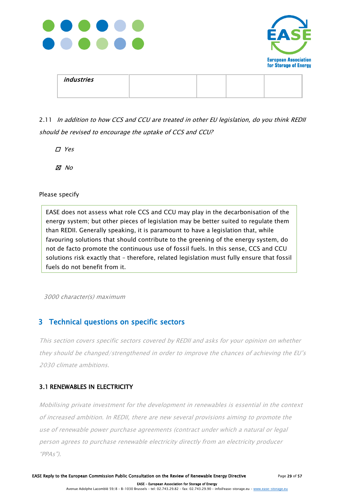



| industries |  |  |
|------------|--|--|
|            |  |  |

### 2.11 In addition to how CCS and CCU are treated in other EU legislation, do you think REDII should be revised to encourage the uptake of CCS and CCU?

☐ Yes

☒ No

Please specify

EASE does not assess what role CCS and CCU may play in the decarbonisation of the energy system; but other pieces of legislation may be better suited to regulate them than REDII. Generally speaking, it is paramount to have a legislation that, while favouring solutions that should contribute to the greening of the energy system, do not de facto promote the continuous use of fossil fuels. In this sense, CCS and CCU solutions risk exactly that – therefore, related legislation must fully ensure that fossil fuels do not benefit from it.

3000 character(s) maximum

### 3 Technical questions on specific sectors

This section covers specific sectors covered by REDII and asks for your opinion on whether they should be changed/strengthened in order to improve the chances of achieving the EU's 2030 climate ambitions.

### 3.1 RENEWABLES IN ELECTRICITY

Mobilising private investment for the development in renewables is essential in the context of increased ambition. In REDII, there are new several provisions aiming to promote the use of renewable power purchase agreements (contract under which a natural or legal person agrees to purchase renewable electricity directly from an electricity producer "PPAs").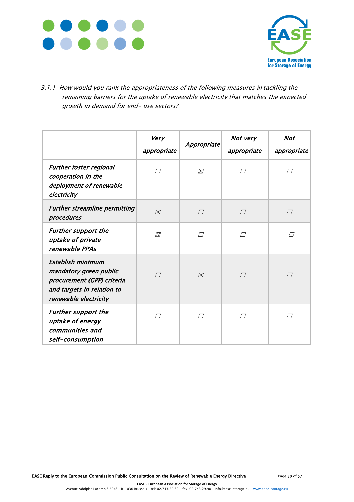



3.1.1 How would you rank the appropriateness of the following measures in tackling the remaining barriers for the uptake of renewable electricity that matches the expected growth in demand for end- use sectors?

|                                                                                                                                  | Very<br>appropriate | Appropriate | Not very<br>appropriate | <b>Not</b><br>appropriate |
|----------------------------------------------------------------------------------------------------------------------------------|---------------------|-------------|-------------------------|---------------------------|
| <b>Further foster regional</b><br>cooperation in the<br>deployment of renewable<br>electricity                                   | $\Box$              | ⊠           | П                       | П                         |
| <b>Further streamline permitting</b><br>procedures                                                                               | $\boxtimes$         | $\sqrt{}$   | $\sqrt{}$               | $\Box$                    |
| <b>Further support the</b><br>uptake of private<br>renewable PPAs                                                                | ⊠                   | $\sqrt{}$   | $\sqrt{}$               | П                         |
| Establish minimum<br>mandatory green public<br>procurement (GPP) criteria<br>and targets in relation to<br>renewable electricity | $\sqrt{}$           | $\boxtimes$ | $\sqrt{}$               | $\sqrt{}$                 |
| <b>Further support the</b><br>uptake of energy<br>communities and<br>self-consumption                                            | П                   | П           | П                       |                           |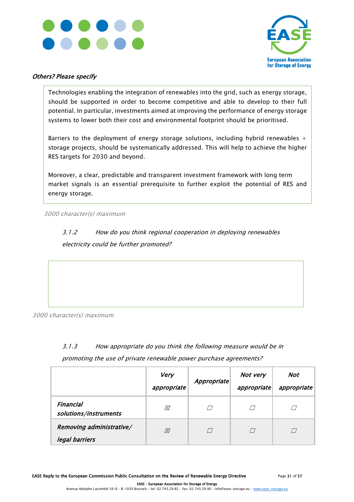



#### Others? Please specify

Technologies enabling the integration of renewables into the grid, such as energy storage, should be supported in order to become competitive and able to develop to their full potential. In particular, investments aimed at improving the performance of energy storage systems to lower both their cost and environmental footprint should be prioritised.

Barriers to the deployment of energy storage solutions, including hybrid renewables  $+$ storage projects, should be systematically addressed. This will help to achieve the higher RES targets for 2030 and beyond.

Moreover, a clear, predictable and transparent investment framework with long term market signals is an essential prerequisite to further exploit the potential of RES and energy storage.

3000 character(s) maximum

3.1.2 How do you think regional cooperation in deploying renewables electricity could be further promoted?

3000 character(s) maximum

### 3.1.3 How appropriate do you think the following measure would be in promoting the use of private renewable power purchase agreements?

|                                            | Very<br>appropriate | Appropriate | Not very<br>appropriate | Not<br>appropriate |
|--------------------------------------------|---------------------|-------------|-------------------------|--------------------|
| Financial<br>solutions/instruments         | ⊠                   |             |                         |                    |
| Removing administrative/<br>legal barriers | Ñ                   |             |                         |                    |

EASE Reply to the European Commission Public Consultation on the Review of Renewable Energy Directive Page 31 of 57

 EASE – European Association for Storage of Energy Avenue Adolphe Lacomblé 59/8 – B-1030 Brussels – tel: 02.743.29.82 – fax: 02.743.29.90 – inf[o@ease-storage.eu](mailto:info@ease-storage.eu) – [www.ease-storage.eu](http://www.ease-storage.eu/)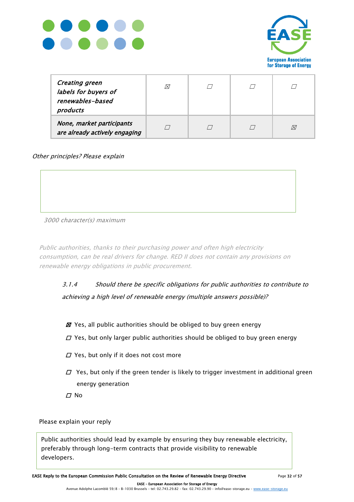



| <b>Creating green</b><br>labels for buyers of<br>renewables-based<br>products | ⊠ |  |  |
|-------------------------------------------------------------------------------|---|--|--|
| None, market participants<br>are already actively engaging                    |   |  |  |

Other principles? Please explain

#### 3000 character(s) maximum

Public authorities, thanks to their purchasing power and often high electricity consumption, can be real drivers for change. RED II does not contain any provisions on renewable energy obligations in public procurement.

### 3.1.4 Should there be specific obligations for public authorities to contribute to achieving a high level of renewable energy (multiple answers possible)?

- $\boxtimes$  Yes, all public authorities should be obliged to buy green energy
- $\Box$  Yes, but only larger public authorities should be obliged to buy green energy
- $\Box$  Yes, but only if it does not cost more
- $\varPi$  Yes, but only if the green tender is likely to trigger investment in additional green energy generation
- $\Box$  No

Please explain your reply

Public authorities should lead by example by ensuring they buy renewable electricity, preferably through long-term contracts that provide visibility to renewable developers.

EASE Reply to the European Commission Public Consultation on the Review of Renewable Energy Directive Page 32 of 57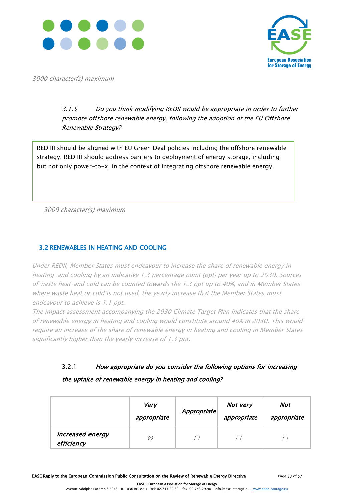



3000 character(s) maximum

### 3.1.5 Do you think modifying REDII would be appropriate in order to further promote offshore renewable energy, following the adoption of the EU Offshore Renewable Strategy?

RED III should be aligned with EU Green Deal policies including the offshore renewable strategy. RED III should address barriers to deployment of energy storage, including but not only power-to-x, in the context of integrating offshore renewable energy.

3000 character(s) maximum

#### 3.2 RENEWABLES IN HEATING AND COOLING

Under REDII, Member States must endeavour to increase the share of renewable energy in heating and cooling by an indicative 1.3 percentage point (ppt) per year up to 2030. Sources of waste heat and cold can be counted towards the 1.3 ppt up to 40%, and in Member States where waste heat or cold is not used, the yearly increase that the Member States must endeavour to achieve is 1.1 ppt.

The impact assessment accompanying the 2030 Climate Target Plan indicates that the share of renewable energy in heating and cooling would constitute around 40% in 2030. This would require an increase of the share of renewable energy in heating and cooling in Member States significantly higher than the yearly increase of 1.3 ppt.

### 3.2.1 How appropriate do you consider the following options for increasing the uptake of renewable energy in heating and cooling?

|                                       | <b>Very</b><br>appropriate | Appropriate | Not very<br>appropriate | Not<br>appropriate |
|---------------------------------------|----------------------------|-------------|-------------------------|--------------------|
| <b>Increased energy</b><br>efficiency | $\boxtimes$                |             |                         |                    |

EASE Reply to the European Commission Public Consultation on the Review of Renewable Energy Directive Page 33 of 57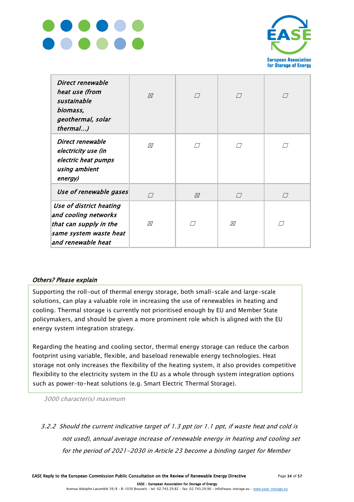



| Direct renewable<br>heat use (from<br>sustainable<br>biomass,<br>geothermal, solar<br>thermal)                            | ⊠         | $\Box$ | $\Box$ | $\Box$    |
|---------------------------------------------------------------------------------------------------------------------------|-----------|--------|--------|-----------|
| Direct renewable<br>electricity use (in<br>electric heat pumps<br>using ambient<br>energy)                                | 风         |        |        |           |
| Use of renewable gases                                                                                                    | $\sqrt{}$ | ⊠      | $\Box$ | $\sqrt{}$ |
| Use of district heating<br>and cooling networks<br>that can supply in the<br>same system waste heat<br>and renewable heat | ⊠         | ┌ /    | 风      | П         |

#### Others? Please explain

Supporting the roll-out of thermal energy storage, both small-scale and large-scale solutions, can play a valuable role in increasing the use of renewables in heating and cooling. Thermal storage is currently not prioritised enough by EU and Member State policymakers, and should be given a more prominent role which is aligned with the EU energy system integration strategy.

Regarding the heating and cooling sector, thermal energy storage can reduce the carbon footprint using variable, flexible, and baseload renewable energy technologies. Heat storage not only increases the flexibility of the heating system, it also provides competitive flexibility to the electricity system in the EU as a whole through system integration options such as power-to-heat solutions (e.g. Smart Electric Thermal Storage).

3000 character(s) maximum

3.2.2 Should the current indicative target of 1.3 ppt (or 1.1 ppt, if waste heat and cold is not used), annual average increase of renewable energy in heating and cooling set for the period of 2021-2030 in Article 23 become a binding target for Member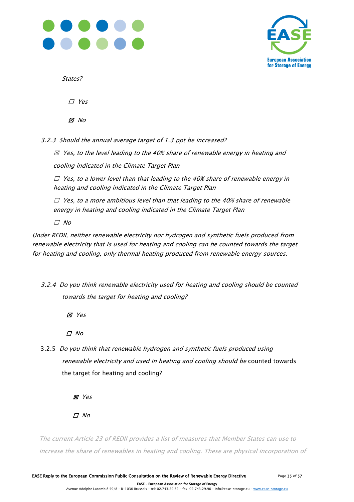



States?

☐ Yes

☒ No

3.2.3 Should the annual average target of 1.3 ppt be increased?

 $\boxtimes$  Yes, to the level leading to the 40% share of renewable energy in heating and cooling indicated in the Climate Target Plan

 $\Box$  Yes, to a lower level than that leading to the 40% share of renewable energy in heating and cooling indicated in the Climate Target Plan

 $\Box$  Yes, to a more ambitious level than that leading to the 40% share of renewable energy in heating and cooling indicated in the Climate Target Plan

 $\Box$  No

Under REDII, neither renewable electricity nor hydrogen and synthetic fuels produced from renewable electricity that is used for heating and cooling can be counted towards the target for heating and cooling, only thermal heating produced from renewable energy sources.

3.2.4 Do you think renewable electricity used for heating and cooling should be counted towards the target for heating and cooling?

☒ Yes

☐ No

3.2.5 Do you think that renewable hydrogen and synthetic fuels produced using renewable electricity and used in heating and cooling should be counted towards the target for heating and cooling?

☒ Yes

 $\Box$  No

The current Article 23 of REDII provides a list of measures that Member States can use to increase the share of renewables in heating and cooling. These are physical incorporation of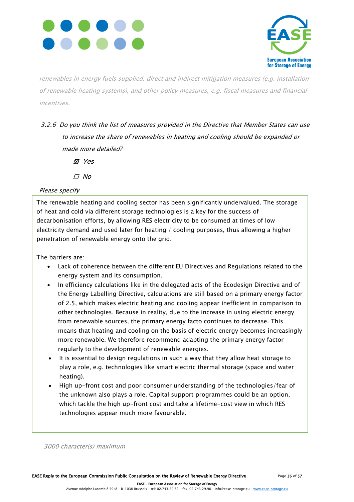



renewables in energy fuels supplied, direct and indirect mitigation measures (e.g. installation of renewable heating systems), and other policy measures, e.g. fiscal measures and financial incentives.

- 3.2.6 Do you think the list of measures provided in the Directive that Member States can use to increase the share of renewables in heating and cooling should be expanded or made more detailed?
	- ☒ Yes
	- ☐ No

### Please specify

The renewable heating and cooling sector has been significantly undervalued. The storage of heat and cold via different storage technologies is a key for the success of decarbonisation efforts, by allowing RES electricity to be consumed at times of low electricity demand and used later for heating / cooling purposes, thus allowing a higher penetration of renewable energy onto the grid.

The barriers are:

- Lack of coherence between the different EU Directives and Regulations related to the energy system and its consumption.
- In efficiency calculations like in the delegated acts of the Ecodesign Directive and of the Energy Labelling Directive, calculations are still based on a primary energy factor of 2.5, which makes electric heating and cooling appear inefficient in comparison to other technologies. Because in reality, due to the increase in using electric energy from renewable sources, the primary energy facto continues to decrease. This means that heating and cooling on the basis of electric energy becomes increasingly more renewable. We therefore recommend adapting the primary energy factor regularly to the development of renewable energies.
- It is essential to design regulations in such a way that they allow heat storage to play a role, e.g. technologies like smart electric thermal storage (space and water heating).
- High up-front cost and poor consumer understanding of the technologies/fear of the unknown also plays a role. Capital support programmes could be an option, which tackle the high up-front cost and take a lifetime-cost view in which RES technologies appear much more favourable.

3000 character(s) maximum

EASE – European Association for Storage of Energy

Avenue Adolphe Lacomblé 59/8 – B-1030 Brussels – tel: 02.743.29.82 – fax: 02.743.29.90 – inf[o@ease-storage.eu](mailto:info@ease-storage.eu) – [www.ease-storage.eu](http://www.ease-storage.eu/)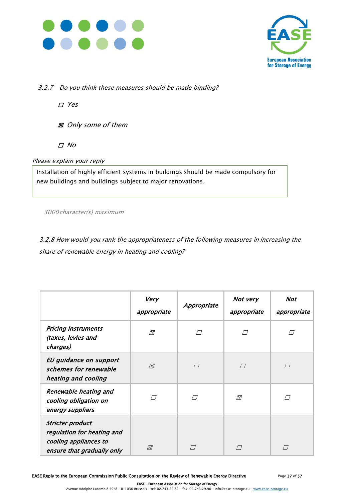



3.2.7 Do you think these measures should be made binding?

☐ Yes

☒ Only some of them

☐ No

Please explain your reply

Installation of highly efficient systems in buildings should be made compulsory for new buildings and buildings subject to major renovations.

3000character(s) maximum

3.2.8 How would you rank the appropriateness of the following measures in increasing the share of renewable energy in heating and cooling?

|                                                                                                              | Very<br>appropriate | Appropriate | Not very<br>appropriate                       | Not<br>appropriate |
|--------------------------------------------------------------------------------------------------------------|---------------------|-------------|-----------------------------------------------|--------------------|
| <b>Pricing instruments</b><br>(taxes, levies and<br>charges)                                                 | ⊠                   |             | $\left( \begin{array}{c} \end{array} \right)$ |                    |
| EU guidance on support<br>schemes for renewable<br>heating and cooling                                       | ⊠                   | $\sqrt{}$   | П                                             | $\sqrt{}$          |
| Renewable heating and<br>cooling obligation on<br>energy suppliers                                           |                     |             | ⊠                                             |                    |
| <b>Stricter product</b><br>regulation for heating and<br>cooling appliances to<br>ensure that gradually only | ⊠                   |             |                                               |                    |

EASE Reply to the European Commission Public Consultation on the Review of Renewable Energy Directive Page 37 of 57

 EASE – European Association for Storage of Energy Avenue Adolphe Lacomblé 59/8 – B-1030 Brussels – tel: 02.743.29.82 – fax: 02.743.29.90 – inf[o@ease-storage.eu](mailto:info@ease-storage.eu) – [www.ease-storage.eu](http://www.ease-storage.eu/)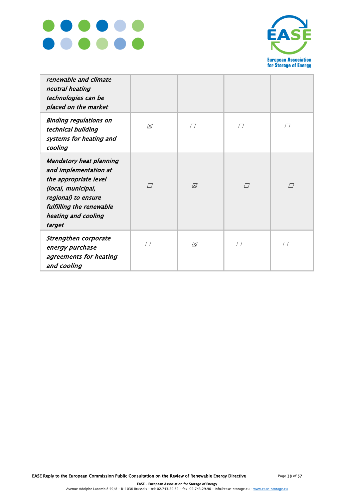



| renewable and climate<br>neutral heating<br>technologies can be<br>placed on the market                                                                                                    |   |   |        |           |
|--------------------------------------------------------------------------------------------------------------------------------------------------------------------------------------------|---|---|--------|-----------|
| <b>Binding regulations on</b><br>technical building<br>systems for heating and<br>cooling                                                                                                  | ⊠ |   | П      |           |
| <b>Mandatory heat planning</b><br>and implementation at<br>the appropriate level<br>(local, municipal,<br>regional) to ensure<br>fulfilling the renewable<br>heating and cooling<br>target | П | ⊠ | $\Box$ | $\sqrt{}$ |
| Strengthen corporate<br>energy purchase<br>agreements for heating<br>and cooling                                                                                                           |   | ⊠ |        |           |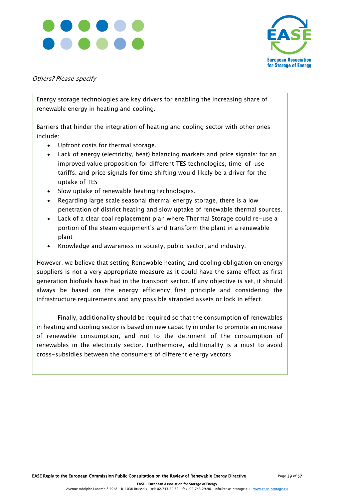



#### Others? Please specify

Energy storage technologies are key drivers for enabling the increasing share of renewable energy in heating and cooling.

Barriers that hinder the integration of heating and cooling sector with other ones include:

- Upfront costs for thermal storage.
- Lack of energy (electricity, heat) balancing markets and price signals: for an improved value proposition for different TES technologies, time-of-use tariffs. and price signals for time shifting would likely be a driver for the uptake of TES
- Slow uptake of renewable heating technologies.
- Regarding large scale seasonal thermal energy storage, there is a low penetration of district heating and slow uptake of renewable thermal sources.
- Lack of a clear coal replacement plan where Thermal Storage could re-use a portion of the steam equipment's and transform the plant in a renewable plant
- Knowledge and awareness in society, public sector, and industry.

However, we believe that setting Renewable heating and cooling obligation on energy suppliers is not a very appropriate measure as it could have the same effect as first generation biofuels have had in the transport sector. If any objective is set, it should always be based on the energy efficiency first principle and considering the infrastructure requirements and any possible stranded assets or lock in effect.

Finally, additionality should be required so that the consumption of renewables in heating and cooling sector is based on new capacity in order to promote an increase of renewable consumption, and not to the detriment of the consumption of renewables in the electricity sector. Furthermore, additionality is a must to avoid cross-subsidies between the consumers of different energy vectors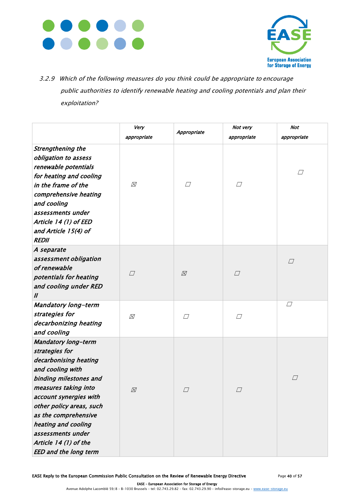



3.2.9 Which of the following measures do you think could be appropriate to encourage public authorities to identify renewable heating and cooling potentials and plan their exploitation?

|                                                                                                                                                                                                                                                                                                                                | Very        |               | Not very    | Not         |
|--------------------------------------------------------------------------------------------------------------------------------------------------------------------------------------------------------------------------------------------------------------------------------------------------------------------------------|-------------|---------------|-------------|-------------|
|                                                                                                                                                                                                                                                                                                                                | appropriate | Appropriate   | appropriate | appropriate |
| <b>Strengthening the</b><br>obligation to assess<br>renewable potentials<br>for heating and cooling<br>in the frame of the<br>comprehensive heating<br>and cooling<br>assessments under<br>Article 14 (1) of EED<br>and Article 15(4) of<br><b>REDII</b>                                                                       | Ø           | $\varpi$      | $\perp$     | $\Box$      |
| A separate<br>assessment obligation<br>of renewable<br>potentials for heating<br>and cooling under RED<br>$\mathbf{u}$                                                                                                                                                                                                         | $\Box$      | $\varnothing$ | $\Box$      | $\Box$      |
| <b>Mandatory long-term</b><br>strategies for<br>decarbonizing heating<br>and cooling                                                                                                                                                                                                                                           | ⊠           | $\varGamma$   | $\sqcup$    | $\Box$      |
| <b>Mandatory long-term</b><br>strategies for<br>decarbonising heating<br>and cooling with<br>binding milestones and<br>measures taking into<br>account synergies with<br>other policy areas, such<br>as the comprehensive<br>heating and cooling<br>assessments under<br>Article 14 (1) of the<br><b>EED and the long term</b> | ⊠           | $\Box$        | $\Box$      | $\Box$      |

EASE Reply to the European Commission Public Consultation on the Review of Renewable Energy Directive Page 40 of 57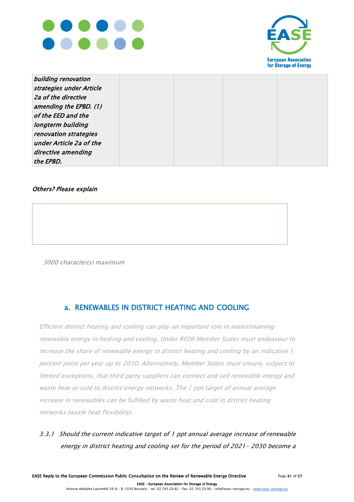



| building renovation      |  |  |
|--------------------------|--|--|
| strategies under Article |  |  |
| 2a of the directive      |  |  |
| amending the EPBD. (1)   |  |  |
| of the EED and the       |  |  |
| longterm building        |  |  |
| renovation strategies    |  |  |
| under Article 2a of the  |  |  |
| directive amending       |  |  |
| the EPBD.                |  |  |

#### Others? Please explain

3000 character(s) maximum

### a. RENEWABLES IN DISTRICT HEATING AND COOLING

Efficient district heating and cooling can play an important role in mainstreaming renewable energy in heating and cooling. Under REDII Member States must endeavour to increase the share of renewable energy in district heating and cooling by an indicative 1 percent point per year up to 2030. Alternatively, Member States must ensure, subject to limited exceptions, that third party suppliers can connect and sell renewable energy and waste heat or cold to district energy networks. The 1 ppt target of annual average increase in renewables can be fulfilled by waste heat and cold in district heating networks (waste heat flexibility).

### 3.3.1 Should the current indicative target of 1 ppt annual average increase of renewable energy in district heating and cooling set for the period of 2021- 2030 become a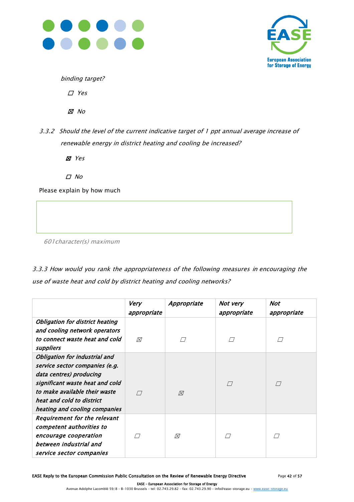



binding target?

☐ Yes

☒ No

3.3.2 Should the level of the current indicative target of 1 ppt annual average increase of renewable energy in district heating and cooling be increased?

☒ Yes

☐ No

Please explain by how much

601character(s) maximum

3.3.3 How would you rank the appropriateness of the following measures in encouraging the use of waste heat and cold by district heating and cooling networks?

|                                        | Very<br>appropriate | Appropriate | Not very<br>appropriate | Not<br>appropriate |
|----------------------------------------|---------------------|-------------|-------------------------|--------------------|
| <b>Obligation for district heating</b> |                     |             |                         |                    |
| and cooling network operators          |                     |             |                         |                    |
| to connect waste heat and cold         | ⊠                   |             |                         |                    |
| suppliers                              |                     |             |                         |                    |
| <b>Obligation for industrial and</b>   |                     |             |                         |                    |
| service sector companies (e.g.         |                     |             |                         |                    |
| data centres) producing                |                     |             |                         |                    |
| significant waste heat and cold        |                     |             | $\Box$                  | $\sqrt{}$          |
| to make available their waste          |                     | ⊠           |                         |                    |
| heat and cold to district              |                     |             |                         |                    |
| heating and cooling companies          |                     |             |                         |                    |
| <b>Requirement for the relevant</b>    |                     |             |                         |                    |
| competent authorities to               |                     |             |                         |                    |
| encourage cooperation                  |                     | ⊠           |                         |                    |
| between industrial and                 |                     |             |                         |                    |
| service sector companies               |                     |             |                         |                    |

EASE Reply to the European Commission Public Consultation on the Review of Renewable Energy Directive Page 42 of 57

 EASE – European Association for Storage of Energy Avenue Adolphe Lacomblé 59/8 – B-1030 Brussels – tel: 02.743.29.82 – fax: 02.743.29.90 – inf[o@ease-storage.eu](mailto:info@ease-storage.eu) – [www.ease-storage.eu](http://www.ease-storage.eu/)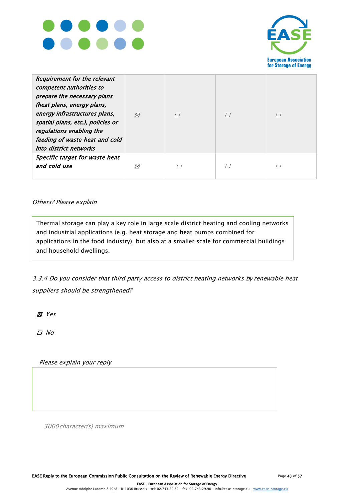



| <b>Requirement for the relevant</b><br>competent authorities to<br>prepare the necessary plans<br>(heat plans, energy plans,<br>energy infrastructures plans,<br>spatial plans, etc.), policies or<br>regulations enabling the<br>feeding of waste heat and cold<br>into district networks | ⊠ |  |  |
|--------------------------------------------------------------------------------------------------------------------------------------------------------------------------------------------------------------------------------------------------------------------------------------------|---|--|--|
| Specific target for waste heat<br>and cold use                                                                                                                                                                                                                                             | ⊠ |  |  |

#### Others? Please explain

3000 character(s) maximum Thermal storage can play a key role in large scale district heating and cooling networks and industrial applications (e.g. heat storage and heat pumps combined for applications in the food industry), but also at a smaller scale for commercial buildings and household dwellings.

3.3.4 Do you consider that third party access to district heating networks by renewable heat suppliers should be strengthened?

☒ Yes

☐ No

Please explain your reply

3000character(s) maximum

EASE Reply to the European Commission Public Consultation on the Review of Renewable Energy Directive Page 43 of 57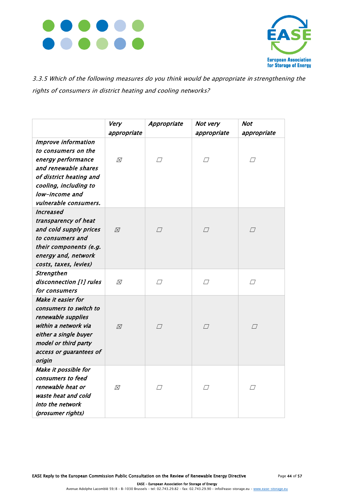



3.3.5 Which of the following measures do you think would be appropriate in strengthening the rights of consumers in district heating and cooling networks?

|                                            | Very          | Appropriate | Not very    | <b>Not</b>  |
|--------------------------------------------|---------------|-------------|-------------|-------------|
|                                            | appropriate   |             | appropriate | appropriate |
| <b>Improve information</b>                 |               |             |             |             |
| to consumers on the                        |               |             |             |             |
| energy performance                         | $\varnothing$ | $\Box$      | $\Box$      | $\Box$      |
| and renewable shares                       |               |             |             |             |
| of district heating and                    |               |             |             |             |
| cooling, including to                      |               |             |             |             |
| low-income and                             |               |             |             |             |
| vulnerable consumers.                      |               |             |             |             |
| Increased                                  |               |             |             |             |
| transparency of heat                       |               |             |             |             |
| and cold supply prices                     | ⊠             | $\Box$      | $\Box$      | $\Box$      |
| to consumers and                           |               |             |             |             |
| their components (e.g.                     |               |             |             |             |
| energy and, network                        |               |             |             |             |
| costs, taxes, levies)                      |               |             |             |             |
| Strengthen                                 |               |             |             |             |
| disconnection [1] rules                    | ⊠             | $\Box$      | $\Box$      | $\Box$      |
| for consumers                              |               |             |             |             |
| Make it easier for                         |               |             |             |             |
| consumers to switch to                     |               |             |             |             |
| renewable supplies<br>within a network via |               |             |             |             |
| either a single buyer                      | $\boxtimes$   | $\Box$      | $\Box$      | $\Box$      |
| model or third party                       |               |             |             |             |
| access or guarantees of                    |               |             |             |             |
| origin                                     |               |             |             |             |
| Make it possible for                       |               |             |             |             |
| consumers to feed                          |               |             |             |             |
| renewable heat or                          | Ø             | П           | $\sqrt{}$   | $\Box$      |
| waste heat and cold                        |               |             |             |             |
| into the network                           |               |             |             |             |
| (prosumer rights)                          |               |             |             |             |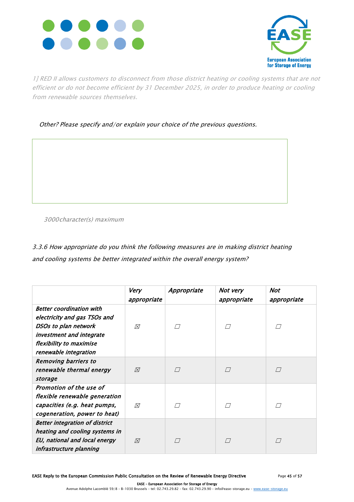



1] RED II allows customers to disconnect from those district heating or cooling systems that are not efficient or do not become efficient by 31 December 2025, in order to produce heating or cooling from renewable sources themselves.

Other? Please specify and/or explain your choice of the previous questions.

3000character(s) maximum

3.3.6 How appropriate do you think the following measures are in making district heating and cooling systems be better integrated within the overall energy system?

|                                                                                                                                                                         | <b>Very</b><br>appropriate | Appropriate | Not very<br>appropriate | Not<br>appropriate |
|-------------------------------------------------------------------------------------------------------------------------------------------------------------------------|----------------------------|-------------|-------------------------|--------------------|
| <b>Better coordination with</b><br>electricity and gas TSOs and<br>DSOs to plan network<br>investment and integrate<br>flexibility to maximise<br>renewable integration | ⊠                          |             |                         |                    |
| <b>Removing barriers to</b><br>renewable thermal energy<br>storage                                                                                                      | ⊠                          |             |                         |                    |
| Promotion of the use of<br>flexible renewable generation<br>capacities (e.g. heat pumps,<br>cogeneration, power to heat)                                                | ⊠                          |             |                         |                    |
| <b>Better integration of district</b><br>heating and cooling systems in<br>EU, national and local energy<br>infrastructure planning                                     | ⊠                          |             |                         |                    |

EASE Reply to the European Commission Public Consultation on the Review of Renewable Energy Directive Page 45 of 57

 EASE – European Association for Storage of Energy Avenue Adolphe Lacomblé 59/8 – B-1030 Brussels – tel: 02.743.29.82 – fax: 02.743.29.90 – inf[o@ease-storage.eu](mailto:info@ease-storage.eu) – [www.ease-storage.eu](http://www.ease-storage.eu/)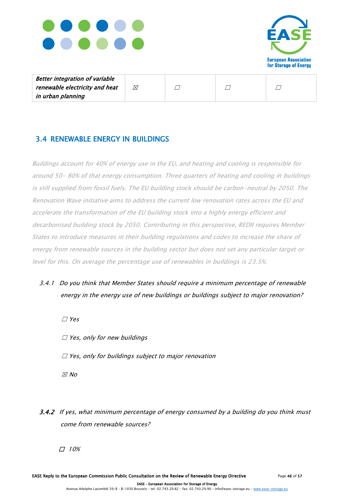



| <b>Better integration of variable</b> |           |  |  |
|---------------------------------------|-----------|--|--|
| renewable electricity and heat        | $\bowtie$ |  |  |
| in urban planning                     |           |  |  |

### 3.4 RENEWABLE ENERGY IN BUILDINGS

Buildings account for 40% of energy use in the EU, and heating and cooling is responsible for around 50- 80% of that energy consumption. Three quarters of heating and cooling in buildings is still supplied from fossil fuels. The EU building stock should be carbon-neutral by 2050. The Renovation Wave initiative aims to address the current low renovation rates across the EU and accelerate the transformation of the EU building stock into a highly energy efficient and decarbonised building stock by 2050. Contributing in this perspective, REDII requires Member States to introduce measures in their building regulations and codes to increase the share of energy from renewable sources in the building sector but does not set any particular target or level for this. On average the percentage use of renewables in buildings is 23.5%.

- 3.4.1 Do you think that Member States should require a minimum percentage of renewable energy in the energy use of new buildings or buildings subject to major renovation?
	- ☐ Yes  $\square$  Yes, only for new buildings  $\Box$  Yes, only for buildings subject to major renovation  $\n *No*\n$
- 3.4.2 If yes, what minimum percentage of energy consumed by a building do you think must come from renewable sources?
	- ☐ 10%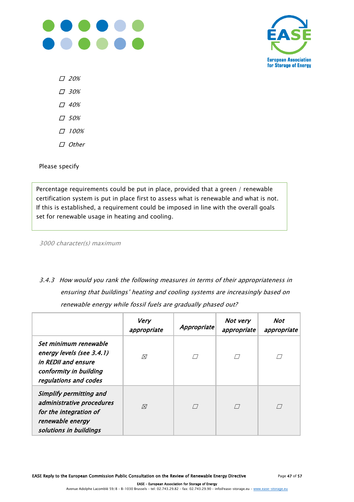



☐ 20%

☐ 30%

- ☐ 40%
- ☐ 50%
- ☐ 100%
- ☐ Other

Please specify

Percentage requirements could be put in place, provided that a green / renewable certification system is put in place first to assess what is renewable and what is not. If this is established, a requirement could be imposed in line with the overall goals set for renewable usage in heating and cooling.

3000 character(s) maximum

3.4.3 How would you rank the following measures in terms of their appropriateness in ensuring that buildings' heating and cooling systems are increasingly based on renewable energy while fossil fuels are gradually phased out?

|                                                                                                                              | Very<br>appropriate | Appropriate | Not very<br>appropriate | Not<br>appropriate |
|------------------------------------------------------------------------------------------------------------------------------|---------------------|-------------|-------------------------|--------------------|
| Set minimum renewable<br>energy levels (see 3.4.1)<br>in REDII and ensure<br>conformity in building<br>regulations and codes | Ø                   |             |                         |                    |
| Simplify permitting and<br>administrative procedures<br>for the integration of<br>renewable energy<br>solutions in buildings | $\boxtimes$         |             |                         |                    |

EASE Reply to the European Commission Public Consultation on the Review of Renewable Energy Directive Page 47 of 57

 EASE – European Association for Storage of Energy Avenue Adolphe Lacomblé 59/8 – B-1030 Brussels – tel: 02.743.29.82 – fax: 02.743.29.90 – inf[o@ease-storage.eu](mailto:info@ease-storage.eu) – [www.ease-storage.eu](http://www.ease-storage.eu/)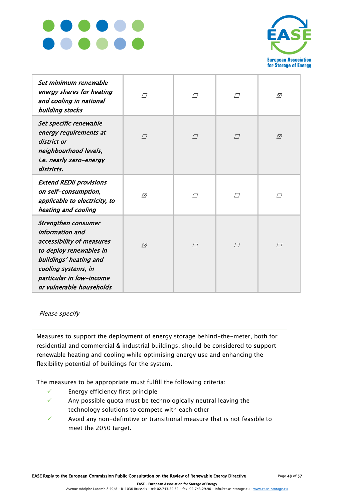



| Set minimum renewable<br>energy shares for heating<br>and cooling in national<br>building stocks                                                                                                               |             | П             | П         | ⊠           |
|----------------------------------------------------------------------------------------------------------------------------------------------------------------------------------------------------------------|-------------|---------------|-----------|-------------|
| Set specific renewable<br>energy requirements at<br>district or<br>neighbourhood levels,<br>i.e. nearly zero-energy<br>districts.                                                                              |             | П             | $\Box$    | $\boxtimes$ |
| <b>Extend REDII provisions</b><br>on self-consumption,<br>applicable to electricity, to<br>heating and cooling                                                                                                 | Ñ           | $^{\prime}$ / |           |             |
| <b>Strengthen consumer</b><br>information and<br>accessibility of measures<br>to deploy renewables in<br>buildings' heating and<br>cooling systems, in<br>particular in low-income<br>or vulnerable households | $\boxtimes$ | $\sqrt{}$     | $\sqrt{}$ | $\Box$      |

Please specify

Measures to support the deployment of energy storage behind-the-meter, both for residential and commercial & industrial buildings, should be considered to support renewable heating and cooling while optimising energy use and enhancing the flexibility potential of buildings for the system.

The measures to be appropriate must fulfill the following criteria:

- ✓ Energy efficiency first principle
- Any possible quota must be technologically neutral leaving the technology solutions to compete with each other
- Avoid any non-definitive or transitional measure that is not feasible to meet the 2050 target.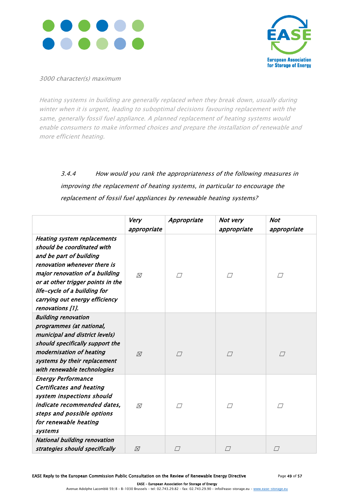



#### 3000 character(s) maximum

Heating systems in building are generally replaced when they break down, usually during winter when it is urgent, leading to suboptimal decisions favouring replacement with the same, generally fossil fuel appliance. A planned replacement of heating systems would enable consumers to make informed choices and prepare the installation of renewable and more efficient heating.

## 3.4.4 How would you rank the appropriateness of the following measures in improving the replacement of heating systems, in particular to encourage the replacement of fossil fuel appliances by renewable heating systems?

|                                                                                                                                                                                                                                                                                          | Very<br>appropriate | Appropriate | Not very<br>appropriate | <b>Not</b><br>appropriate |
|------------------------------------------------------------------------------------------------------------------------------------------------------------------------------------------------------------------------------------------------------------------------------------------|---------------------|-------------|-------------------------|---------------------------|
| <b>Heating system replacements</b><br>should be coordinated with<br>and be part of building<br>renovation whenever there is<br>major renovation of a building<br>or at other trigger points in the<br>life-cycle of a building for<br>carrying out energy efficiency<br>renovations [1]. | $\boxtimes$         | П           | //                      |                           |
| <b>Building renovation</b><br>programmes (at national,<br>municipal and district levels)<br>should specifically support the<br>modernisation of heating<br>systems by their replacement<br>with renewable technologies                                                                   | $\varnothing$       | $\sqrt{}$   | П                       | $\Box$                    |
| <b>Energy Performance</b><br><b>Certificates and heating</b><br>system inspections should<br>indicate recommended dates,<br>steps and possible options<br>for renewable heating<br>systems                                                                                               | ⊠                   | $\sqrt{}$   | $\sqrt{}$               |                           |
| <b>National building renovation</b><br>strategies should specifically                                                                                                                                                                                                                    | $\varnothing$       |             |                         |                           |

 EASE – European Association for Storage of Energy Avenue Adolphe Lacomblé 59/8 – B-1030 Brussels – tel: 02.743.29.82 – fax: 02.743.29.90 – inf[o@ease-storage.eu](mailto:info@ease-storage.eu) – [www.ease-storage.eu](http://www.ease-storage.eu/)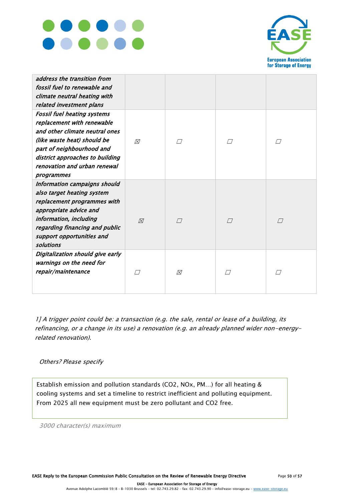



| address the transition from<br>fossil fuel to renewable and<br>climate neutral heating with<br>related investment plans                                                                                                                         |             |        |           |           |
|-------------------------------------------------------------------------------------------------------------------------------------------------------------------------------------------------------------------------------------------------|-------------|--------|-----------|-----------|
| <b>Fossil fuel heating systems</b><br>replacement with renewable<br>and other climate neutral ones<br>(like waste heat) should be<br>part of neighbourhood and<br>district approaches to building<br>renovation and urban renewal<br>programmes | ⊠           | П      | / /       | П         |
| Information campaigns should<br>also target heating system<br>replacement programmes with<br>appropriate advice and<br>information, including<br>regarding financing and public<br>support opportunities and<br>solutions                       | $\boxtimes$ | $\Box$ | $\sqrt{}$ |           |
| Digitalization should give early<br>warnings on the need for<br>repair/maintenance                                                                                                                                                              | / /         | ⊠      |           | $\sqrt{}$ |

1] A trigger point could be: a transaction (e.g. the sale, rental or lease of a building, its refinancing, or a change in its use) a renovation (e.g. an already planned wider non-energyrelated renovation).

#### Others? Please specify

Establish emission and pollution standards (CO2, NOx, PM…) for all heating & cooling systems and set a timeline to restrict inefficient and polluting equipment. From 2025 all new equipment must be zero pollutant and CO2 free.

3000 character(s) maximum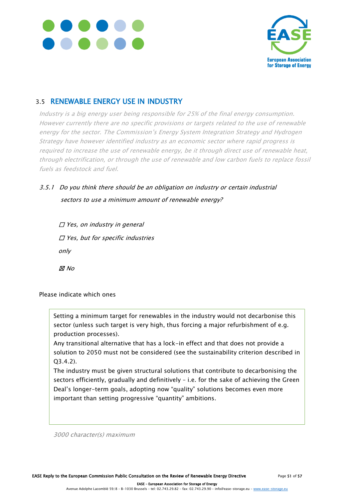



### 3.5 RENEWABLE ENERGY USE IN INDUSTRY

Industry is a big energy user being responsible for 25% of the final energy consumption. However currently there are no specific provisions or targets related to the use of renewable energy for the sector. The Commission's Energy System Integration Strategy and Hydrogen Strategy have however identified industry as an economic sector where rapid progress is required to increase the use of renewable energy, be it through direct use of renewable heat, through electrification, or through the use of renewable and low carbon fuels to replace fossil fuels as feedstock and fuel.

### 3.5.1 Do you think there should be an obligation on industry or certain industrial sectors to use a minimum amount of renewable energy?

| $\Box$ Yes, on industry in general      |
|-----------------------------------------|
| $\Box$ Yes, but for specific industries |
| only                                    |
| ⊠ No                                    |

Please indicate which ones

Setting a minimum target for renewables in the industry would not decarbonise this sector (unless such target is very high, thus forcing a major refurbishment of e.g. production processes).

Any transitional alternative that has a lock-in effect and that does not provide a solution to 2050 must not be considered (see the sustainability criterion described in Q3.4.2).

The industry must be given structural solutions that contribute to decarbonising the sectors efficiently, gradually and definitively – i.e. for the sake of achieving the Green Deal's longer-term goals, adopting now "quality" solutions becomes even more important than setting progressive "quantity" ambitions.

3000 character(s) maximum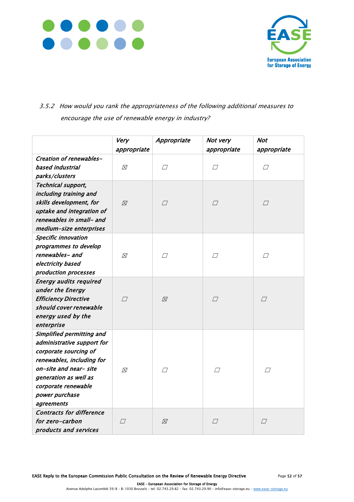



### 3.5.2 How would you rank the appropriateness of the following additional measures to encourage the use of renewable energy in industry?

|                                                   | Very<br>appropriate | Appropriate | Not very<br>appropriate | <b>Not</b><br>appropriate |
|---------------------------------------------------|---------------------|-------------|-------------------------|---------------------------|
| Creation of renewables-                           |                     |             |                         |                           |
| based industrial                                  | ⊠                   | $\Box$      | $\Box$                  | $\varpi$                  |
| parks/clusters                                    |                     |             |                         |                           |
| Technical support,                                |                     |             |                         |                           |
| including training and                            |                     |             |                         |                           |
| skills development, for                           | $\boxtimes$         | $\Box$      | $\Box$                  | $\Box$                    |
| uptake and integration of                         |                     |             |                         |                           |
| renewables in small- and                          |                     |             |                         |                           |
| medium-size enterprises                           |                     |             |                         |                           |
| <b>Specific innovation</b>                        |                     |             |                         |                           |
| programmes to develop<br>renewables- and          |                     |             |                         |                           |
|                                                   | 风                   | $\Box$      | Π                       | $\Box$                    |
| electricity based                                 |                     |             |                         |                           |
| production processes                              |                     |             |                         |                           |
| <b>Energy audits required</b><br>under the Energy |                     |             |                         |                           |
| <b>Efficiency Directive</b>                       | $\sqrt{}$           |             |                         |                           |
| should cover renewable                            |                     | $\boxtimes$ | $\Box$                  | $\sqrt{}$                 |
| energy used by the                                |                     |             |                         |                           |
| enterprise                                        |                     |             |                         |                           |
| Simplified permitting and                         |                     |             |                         |                           |
| administrative support for                        |                     |             |                         |                           |
| corporate sourcing of                             |                     |             |                         |                           |
| renewables, including for                         |                     |             |                         |                           |
| on-site and near- site                            | ⊠                   | $\Box$      | $\Box$                  | $\Box$                    |
| generation as well as                             |                     |             |                         |                           |
| corporate renewable                               |                     |             |                         |                           |
| power purchase                                    |                     |             |                         |                           |
| agreements                                        |                     |             |                         |                           |
| <b>Contracts for difference</b>                   |                     |             |                         |                           |
| for zero-carbon                                   | $\Box$              | ⊠           | $\vartriangle$          | $\varpi$                  |
| products and services                             |                     |             |                         |                           |
|                                                   |                     |             |                         |                           |

EASE Reply to the European Commission Public Consultation on the Review of Renewable Energy Directive Page 52 of 57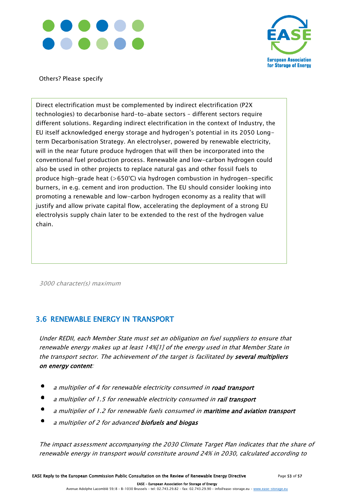



Others? Please specify

Direct electrification must be complemented by indirect electrification (P2X technologies) to decarbonise hard-to-abate sectors – different sectors require different solutions. Regarding indirect electrification in the context of Industry, the EU itself acknowledged energy storage and hydrogen's potential in its 2050 Longterm Decarbonisation Strategy. An electrolyser, powered by renewable electricity, will in the near future produce hydrogen that will then be incorporated into the conventional fuel production process. Renewable and low-carbon hydrogen could also be used in other projects to replace natural gas and other fossil fuels to produce high-grade heat (>650°C) via hydrogen combustion in hydrogen-specific burners, in e.g. cement and iron production. The EU should consider looking into promoting a renewable and low-carbon hydrogen economy as a reality that will justify and allow private capital flow, accelerating the deployment of a strong EU electrolysis supply chain later to be extended to the rest of the hydrogen value chain.

3000 character(s) maximum

### 3.6 RENEWABLE ENERGY IN TRANSPORT

Under REDII, each Member State must set an obligation on fuel suppliers to ensure that renewable energy makes up at least 14%[1] of the energy used in that Member State in the transport sector. The achievement of the target is facilitated by several multipliers on energy content:

- a multiplier of 4 for renewable electricity consumed in road transport
- a multiplier of 1.5 for renewable electricity consumed in rail transport
- a multiplier of 1.2 for renewable fuels consumed in maritime and aviation transport
- a multiplier of 2 for advanced biofuels and biogas

The impact assessment accompanying the 2030 Climate Target Plan indicates that the share of renewable energy in transport would constitute around 24% in 2030, calculated according to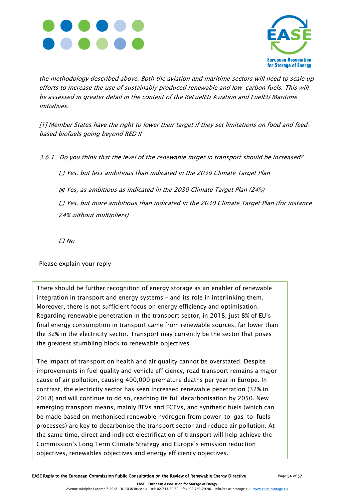



the methodology described above. Both the aviation and maritime sectors will need to scale up efforts to increase the use of sustainably produced renewable and low-carbon fuels. This will be assessed in greater detail in the context of the ReFuelEU Aviation and FuelEU Maritime initiatives.

[1] Member States have the right to lower their target if they set limitations on food and feedbased biofuels going beyond RED II

3.6.1 Do you think that the level of the renewable target in transport should be increased?

☐ Yes, but less ambitious than indicated in the 2030 Climate Target Plan

☒ Yes, as ambitious as indicated in the 2030 Climate Target Plan (24%)

☐ Yes, but more ambitious than indicated in the 2030 Climate Target Plan (for instance 24% without multipliers)

☐ No

Please explain your reply

There should be further recognition of energy storage as an enabler of renewable integration in transport and energy systems – and its role in interlinking them. Moreover, there is not sufficient focus on energy efficiency and optimisation. Regarding renewable penetration in the transport sector, in 2018, just 8% of EU's final energy consumption in transport came from renewable sources, far lower than the 32% in the electricity sector. Transport may currently be the sector that poses the greatest stumbling block to renewable objectives.

The impact of transport on health and air quality cannot be overstated. Despite improvements in fuel quality and vehicle efficiency, road transport remains a major cause of air pollution, causing 400,000 premature deaths per year in Europe. In contrast, the electricity sector has seen increased renewable penetration (32% in 2018) and will continue to do so, reaching its full decarbonisation by 2050. New emerging transport means, mainly BEVs and FCEVs, and synthetic fuels (which can be made based on methanised renewable hydrogen from power-to-gas-to-fuels processes) are key to decarbonise the transport sector and reduce air pollution. At the same time, direct and indirect electrification of transport will help achieve the Commission's Long Term Climate Strategy and Europe's emission reduction objectives, renewables objectives and energy efficiency objectives.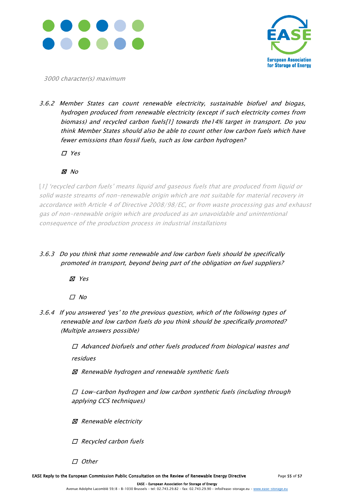



3000 character(s) maximum

3.6.2 Member States can count renewable electricity, sustainable biofuel and biogas, hydrogen produced from renewable electricity (except if such electricity comes from biomass) and recycled carbon fuels[1] towards the14% target in transport. Do you think Member States should also be able to count other low carbon fuels which have fewer emissions than fossil fuels, such as low carbon hydrogen?

☐ Yes

### ☒ No

[1] 'recycled carbon fuels' means liquid and gaseous fuels that are produced from liquid or solid waste streams of non-renewable origin which are not suitable for material recovery in accordance with Article 4 of Directive 2008/98/EC, or from waste processing gas and exhaust gas of non-renewable origin which are produced as an unavoidable and unintentional consequence of the production process in industrial installations

3.6.3 Do you think that some renewable and low carbon fuels should be specifically promoted in transport, beyond being part of the obligation on fuel suppliers?

☒ Yes

☐ No

3.6.4 If you answered 'yes' to the previous question, which of the following types of renewable and low carbon fuels do you think should be specifically promoted? (Multiple answers possible)

> ☐ Advanced biofuels and other fuels produced from biological wastes and residues

☒ Renewable hydrogen and renewable synthetic fuels

☐ Low-carbon hydrogen and low carbon synthetic fuels (including through applying CCS techniques)

☒ Renewable electricity

☐ Recycled carbon fuels

☐ Other

EASE Reply to the European Commission Public Consultation on the Review of Renewable Energy Directive Page 55 of 57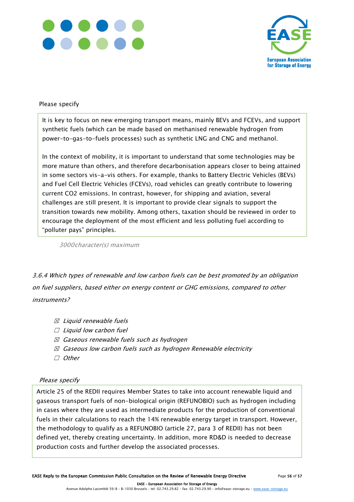



#### Please specify

It is key to focus on new emerging transport means, mainly BEVs and FCEVs, and support synthetic fuels (which can be made based on methanised renewable hydrogen from power-to-gas-to-fuels processes) such as synthetic LNG and CNG and methanol.

In the context of mobility, it is important to understand that some technologies may be more mature than others, and therefore decarbonisation appears closer to being attained in some sectors vis-a-vis others. For example, thanks to Battery Electric Vehicles (BEVs) and Fuel Cell Electric Vehicles (FCEVs), road vehicles can greatly contribute to lowering current CO2 emissions. In contrast, however, for shipping and aviation, several challenges are still present. It is important to provide clear signals to support the transition towards new mobility. Among others, taxation should be reviewed in order to encourage the deployment of the most efficient and less polluting fuel according to "polluter pays" principles.

3000character(s) maximum

3.6.4 Which types of renewable and low carbon fuels can be best promoted by an obligation on fuel suppliers, based either on energy content or GHG emissions, compared to other instruments?

- $\boxtimes$  Liquid renewable fuels
- $□$  Liquid low carbon fuel
- $\boxtimes$  Gaseous renewable fuels such as hydrogen
- $\boxtimes$  Gaseous low carbon fuels such as hydrogen Renewable electricity
- ☐ Other

#### Please specify

Article 25 of the REDII requires Member States to take into account renewable liquid and gaseous transport fuels of non-biological origin (REFUNOBIO) such as hydrogen including in cases where they are used as intermediate products for the production of conventional fuels in their calculations to reach the 14% renewable energy target in transport. However, the methodology to qualify as a REFUNOBIO (article 27, para 3 of REDII) has not been defined yet, thereby creating uncertainty. In addition, more RD&D is needed to decrease production costs and further develop the associated processes.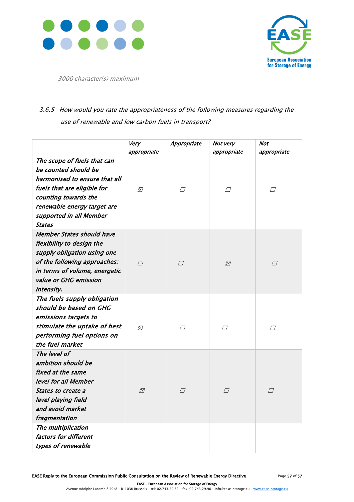



3000 character(s) maximum

### 3.6.5 How would you rate the appropriateness of the following measures regarding the use of renewable and low carbon fuels in transport?

|                                                                                                                                                                                                                        | Very             | Appropriate | Not very<br>appropriate | Not                   |
|------------------------------------------------------------------------------------------------------------------------------------------------------------------------------------------------------------------------|------------------|-------------|-------------------------|-----------------------|
| The scope of fuels that can<br>be counted should be<br>harmonised to ensure that all<br>fuels that are eligible for<br>counting towards the<br>renewable energy target are<br>supported in all Member<br><b>States</b> | appropriate<br>⊠ | $\Box$      | $\Box$                  | appropriate<br>$\Box$ |
| <b>Member States should have</b><br>flexibility to design the<br>supply obligation using one<br>of the following approaches:<br>in terms of volume, energetic<br>value or GHG emission<br>intensity.                   | $\Box$           | $\Box$      | ⊠                       | $\Box$                |
| The fuels supply obligation<br>should be based on GHG<br>emissions targets to<br>stimulate the uptake of best<br>performing fuel options on<br>the fuel market                                                         | ⊠                | П           | П                       | П                     |
| The level of<br>ambition should be<br>fixed at the same<br>level for all Member<br>States to create a<br>level playing field<br>and avoid market<br>fragmentation                                                      | ⊠                | $\Box$      | $\perp$                 | $\Box$                |
| The multiplication<br>factors for different<br>types of renewable                                                                                                                                                      |                  |             |                         |                       |

EASE Reply to the European Commission Public Consultation on the Review of Renewable Energy Directive Page 57 of 57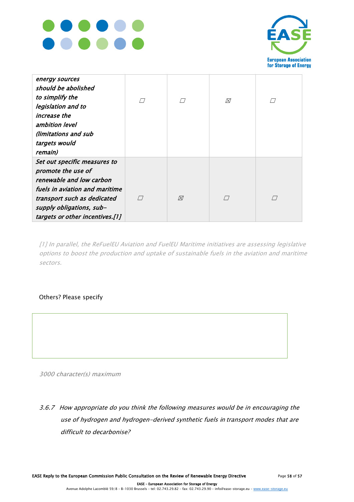



| energy sources<br>should be abolished<br>to simplify the<br>legislation and to<br>increase the<br>ambition level<br>(limitations and sub<br>targets would<br>remain)                                           |   | ⊠ |  |
|----------------------------------------------------------------------------------------------------------------------------------------------------------------------------------------------------------------|---|---|--|
| Set out specific measures to<br>promote the use of<br>renewable and low carbon<br>fuels in aviation and maritime<br>transport such as dedicated<br>supply obligations, sub-<br>targets or other incentives.[1] | ⊠ |   |  |

[1] In parallel, the ReFuelEU Aviation and FuelEU Maritime initiatives are assessing legislative options to boost the production and uptake of sustainable fuels in the aviation and maritime sectors.

#### Others? Please specify

3000 character(s) maximum

3.6.7 How appropriate do you think the following measures would be in encouraging the use of hydrogen and hydrogen-derived synthetic fuels in transport modes that are difficult to decarbonise?

EASE Reply to the European Commission Public Consultation on the Review of Renewable Energy Directive Page 58 of 57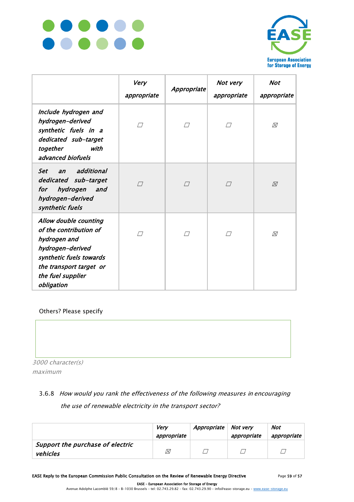



|                                                                                                                                                                              | Very<br>appropriate | Appropriate | Not very<br>appropriate | Not<br>appropriate |
|------------------------------------------------------------------------------------------------------------------------------------------------------------------------------|---------------------|-------------|-------------------------|--------------------|
| Include hydrogen and<br>hydrogen-derived<br>synthetic fuels in a<br>dedicated sub-target<br>together<br>with<br>advanced biofuels                                            | П                   | П           | П                       | ⊠                  |
| additional<br><b>Set</b><br>$\overline{a}$ n<br>dedicated sub-target<br>hydrogen<br>and<br>for<br>hydrogen-derived<br>synthetic fuels                                        | П                   | П           | П                       | ⊠                  |
| Allow double counting<br>of the contribution of<br>hydrogen and<br>hydrogen-derived<br>synthetic fuels towards<br>the transport target or<br>the fuel supplier<br>obligation | П                   | $\sqrt{}$   | П                       | ⊠                  |

Others? Please specify

3000 character(s) maximum

### 3.6.8 How would you rank the effectiveness of the following measures in encouraging the use of renewable electricity in the transport sector?

|                                  | Verv<br>appropriate | Appropriate | Not very<br>appropriate | Not<br>appropriate |
|----------------------------------|---------------------|-------------|-------------------------|--------------------|
| Support the purchase of electric |                     |             |                         |                    |
| vehicles                         | ⊠                   |             |                         |                    |

EASE Reply to the European Commission Public Consultation on the Review of Renewable Energy Directive Page 59 of 57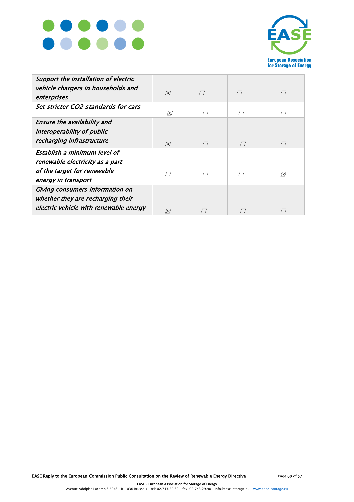



| Support the installation of electric<br>vehicle chargers in households and<br>enterprises                             | $\boxtimes$ | $\sqrt{}$ | $\sqrt{}$ | $\Box$           |
|-----------------------------------------------------------------------------------------------------------------------|-------------|-----------|-----------|------------------|
| Set stricter CO2 standards for cars                                                                                   | 风           |           |           |                  |
| Ensure the availability and<br>interoperability of public<br>recharging infrastructure                                | $\boxtimes$ |           |           | $\left  \right $ |
| Establish a minimum level of<br>renewable electricity as a part<br>of the target for renewable<br>energy in transport | $\sqrt{ }$  |           |           | 风                |
| <b>Giving consumers information on</b><br>whether they are recharging their<br>electric vehicle with renewable energy | Ñ           |           |           |                  |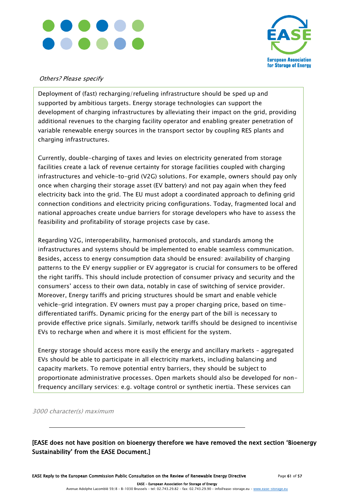



#### Others? Please specify

Deployment of (fast) recharging/refueling infrastructure should be sped up and supported by ambitious targets. Energy storage technologies can support the development of charging infrastructures by alleviating their impact on the grid, providing additional revenues to the charging facility operator and enabling greater penetration of variable renewable energy sources in the transport sector by coupling RES plants and charging infrastructures.

Currently, double-charging of taxes and levies on electricity generated from storage facilities create a lack of revenue certainty for storage facilities coupled with charging infrastructures and vehicle-to-grid (V2G) solutions. For example, owners should pay only once when charging their storage asset (EV battery) and not pay again when they feed electricity back into the grid. The EU must adopt a coordinated approach to defining grid connection conditions and electricity pricing configurations. Today, fragmented local and national approaches create undue barriers for storage developers who have to assess the feasibility and profitability of storage projects case by case.

Regarding V2G, interoperability, harmonised protocols, and standards among the infrastructures and systems should be implemented to enable seamless communication. Besides, access to energy consumption data should be ensured: availability of charging patterns to the EV energy supplier or EV aggregator is crucial for consumers to be offered the right tariffs. This should include protection of consumer privacy and security and the consumers' access to their own data, notably in case of switching of service provider. Moreover, Energy tariffs and pricing structures should be smart and enable vehicle vehicle-grid integration. EV owners must pay a proper charging price, based on timedifferentiated tariffs. Dynamic pricing for the energy part of the bill is necessary to provide effective price signals. Similarly, network tariffs should be designed to incentivise EVs to recharge when and where it is most efficient for the system.

Energy storage should access more easily the energy and ancillary markets – aggregated EVs should be able to participate in all electricity markets, including balancing and capacity markets. To remove potential entry barriers, they should be subject to proportionate administrative processes. Open markets should also be developed for nonfrequency ancillary services: e.g. voltage control or synthetic inertia. These services can

3000 character(s) maximum

[EASE does not have position on bioenergy therefore we have removed the next section 'Bioenergy Sustainability' from the EASE Document.]

EASE Reply to the European Commission Public Consultation on the Review of Renewable Energy Directive Page 61 of 57